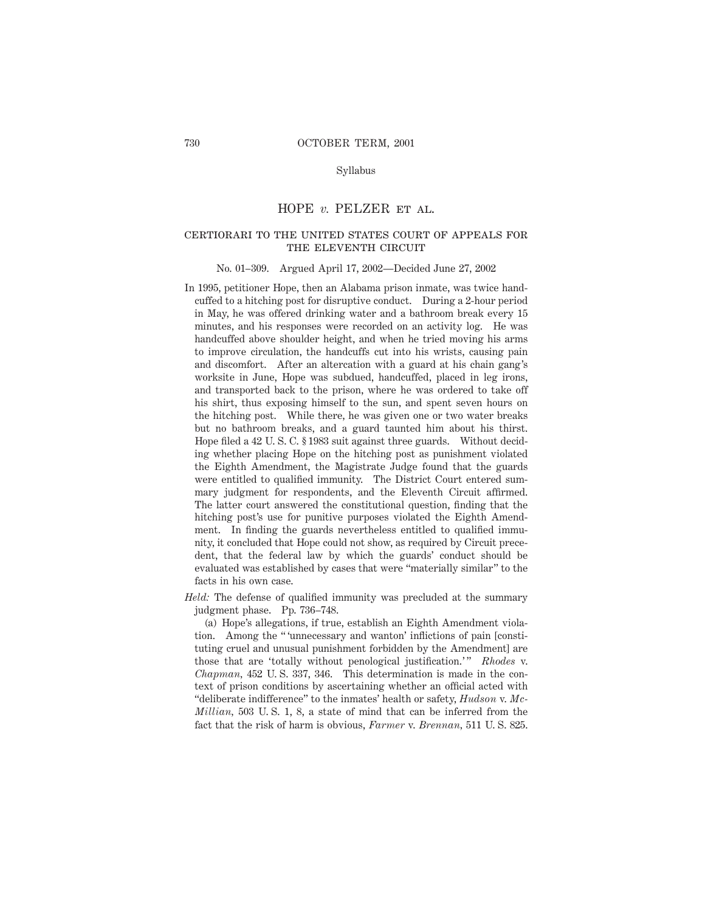#### Syllabus

### HOPE *v.* PELZER ET AL.

## certiorari to the united states court of appeals for THE ELEVENTH CIRCUIT

#### No. 01–309. Argued April 17, 2002—Decided June 27, 2002

- In 1995, petitioner Hope, then an Alabama prison inmate, was twice handcuffed to a hitching post for disruptive conduct. During a 2-hour period in May, he was offered drinking water and a bathroom break every 15 minutes, and his responses were recorded on an activity log. He was handcuffed above shoulder height, and when he tried moving his arms to improve circulation, the handcuffs cut into his wrists, causing pain and discomfort. After an altercation with a guard at his chain gang's worksite in June, Hope was subdued, handcuffed, placed in leg irons, and transported back to the prison, where he was ordered to take off his shirt, thus exposing himself to the sun, and spent seven hours on the hitching post. While there, he was given one or two water breaks but no bathroom breaks, and a guard taunted him about his thirst. Hope filed a 42 U. S. C. § 1983 suit against three guards. Without deciding whether placing Hope on the hitching post as punishment violated the Eighth Amendment, the Magistrate Judge found that the guards were entitled to qualified immunity. The District Court entered summary judgment for respondents, and the Eleventh Circuit affirmed. The latter court answered the constitutional question, finding that the hitching post's use for punitive purposes violated the Eighth Amendment. In finding the guards nevertheless entitled to qualified immunity, it concluded that Hope could not show, as required by Circuit precedent, that the federal law by which the guards' conduct should be evaluated was established by cases that were "materially similar" to the facts in his own case.
- *Held:* The defense of qualified immunity was precluded at the summary judgment phase. Pp. 736–748.

(a) Hope's allegations, if true, establish an Eighth Amendment violation. Among the " 'unnecessary and wanton' inflictions of pain [constituting cruel and unusual punishment forbidden by the Amendment] are those that are 'totally without penological justification.'" *Rhodes* v. *Chapman,* 452 U. S. 337, 346. This determination is made in the context of prison conditions by ascertaining whether an official acted with "deliberate indifference" to the inmates' health or safety, *Hudson* v. *Mc-Millian,* 503 U. S. 1, 8, a state of mind that can be inferred from the fact that the risk of harm is obvious, *Farmer* v. *Brennan,* 511 U. S. 825.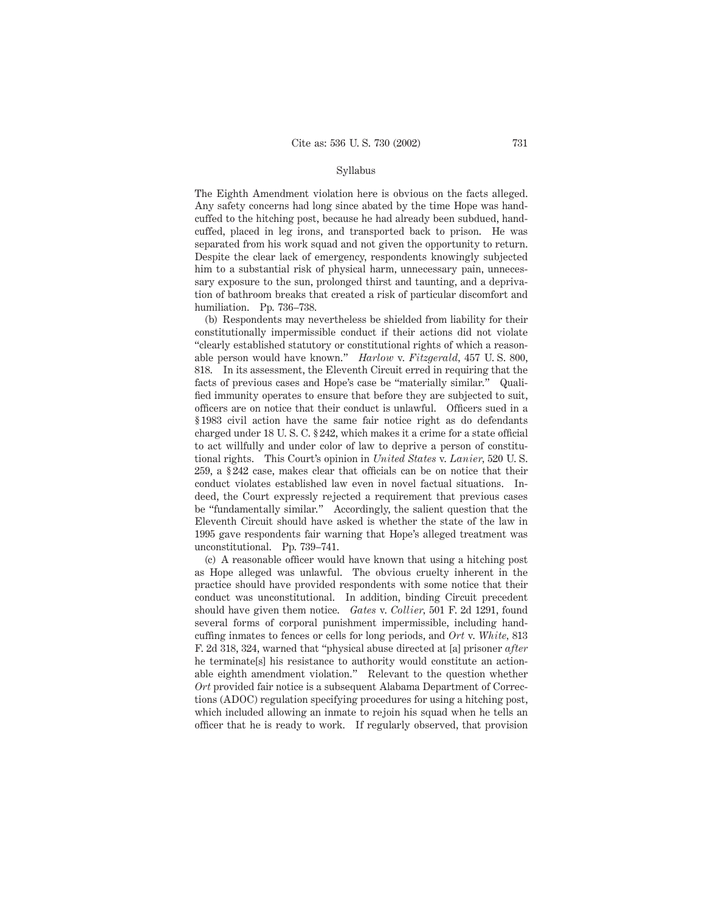#### Syllabus

The Eighth Amendment violation here is obvious on the facts alleged. Any safety concerns had long since abated by the time Hope was handcuffed to the hitching post, because he had already been subdued, handcuffed, placed in leg irons, and transported back to prison. He was separated from his work squad and not given the opportunity to return. Despite the clear lack of emergency, respondents knowingly subjected him to a substantial risk of physical harm, unnecessary pain, unnecessary exposure to the sun, prolonged thirst and taunting, and a deprivation of bathroom breaks that created a risk of particular discomfort and humiliation. Pp. 736–738.

(b) Respondents may nevertheless be shielded from liability for their constitutionally impermissible conduct if their actions did not violate "clearly established statutory or constitutional rights of which a reasonable person would have known." *Harlow* v. *Fitzgerald,* 457 U. S. 800, 818. In its assessment, the Eleventh Circuit erred in requiring that the facts of previous cases and Hope's case be "materially similar." Qualified immunity operates to ensure that before they are subjected to suit, officers are on notice that their conduct is unlawful. Officers sued in a § 1983 civil action have the same fair notice right as do defendants charged under 18 U. S. C. § 242, which makes it a crime for a state official to act willfully and under color of law to deprive a person of constitutional rights. This Court's opinion in *United States* v. *Lanier,* 520 U. S. 259, a § 242 case, makes clear that officials can be on notice that their conduct violates established law even in novel factual situations. Indeed, the Court expressly rejected a requirement that previous cases be "fundamentally similar." Accordingly, the salient question that the Eleventh Circuit should have asked is whether the state of the law in 1995 gave respondents fair warning that Hope's alleged treatment was unconstitutional. Pp. 739–741.

(c) A reasonable officer would have known that using a hitching post as Hope alleged was unlawful. The obvious cruelty inherent in the practice should have provided respondents with some notice that their conduct was unconstitutional. In addition, binding Circuit precedent should have given them notice. *Gates* v. *Collier,* 501 F. 2d 1291, found several forms of corporal punishment impermissible, including handcuffing inmates to fences or cells for long periods, and *Ort* v. *White,* 813 F. 2d 318, 324, warned that "physical abuse directed at [a] prisoner *after* he terminate[s] his resistance to authority would constitute an actionable eighth amendment violation." Relevant to the question whether *Ort* provided fair notice is a subsequent Alabama Department of Corrections (ADOC) regulation specifying procedures for using a hitching post, which included allowing an inmate to rejoin his squad when he tells an officer that he is ready to work. If regularly observed, that provision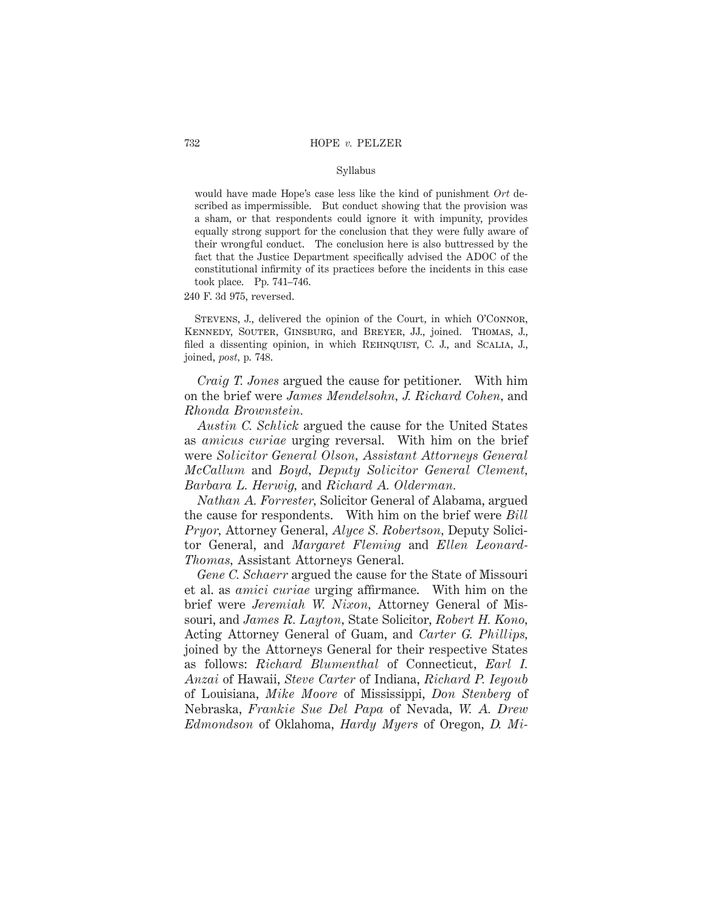#### Syllabus

would have made Hope's case less like the kind of punishment *Ort* described as impermissible. But conduct showing that the provision was a sham, or that respondents could ignore it with impunity, provides equally strong support for the conclusion that they were fully aware of their wrongful conduct. The conclusion here is also buttressed by the fact that the Justice Department specifically advised the ADOC of the constitutional infirmity of its practices before the incidents in this case took place. Pp. 741–746.

240 F. 3d 975, reversed.

Stevens, J., delivered the opinion of the Court, in which O'Connor, Kennedy, Souter, Ginsburg, and Breyer, JJ., joined. Thomas, J., filed a dissenting opinion, in which REHNQUIST, C. J., and SCALIA, J., joined, *post,* p. 748.

*Craig T. Jones* argued the cause for petitioner. With him on the brief were *James Mendelsohn, J. Richard Cohen,* and *Rhonda Brownstein.*

*Austin C. Schlick* argued the cause for the United States as *amicus curiae* urging reversal. With him on the brief were *Solicitor General Olson, Assistant Attorneys General McCallum* and *Boyd, Deputy Solicitor General Clement, Barbara L. Herwig,* and *Richard A. Olderman.*

*Nathan A. Forrester,* Solicitor General of Alabama, argued the cause for respondents. With him on the brief were *Bill Pryor,* Attorney General, *Alyce S. Robertson,* Deputy Solicitor General, and *Margaret Fleming* and *Ellen Leonard-Thomas,* Assistant Attorneys General.

*Gene C. Schaerr* argued the cause for the State of Missouri et al. as *amici curiae* urging affirmance. With him on the brief were *Jeremiah W. Nixon,* Attorney General of Missouri, and *James R. Layton,* State Solicitor, *Robert H. Kono,* Acting Attorney General of Guam, and *Carter G. Phillips,* joined by the Attorneys General for their respective States as follows: *Richard Blumenthal* of Connecticut, *Earl I. Anzai* of Hawaii, *Steve Carter* of Indiana, *Richard P. Ieyoub* of Louisiana, *Mike Moore* of Mississippi, *Don Stenberg* of Nebraska, *Frankie Sue Del Papa* of Nevada, *W. A. Drew Edmondson* of Oklahoma, *Hardy Myers* of Oregon, *D. Mi-*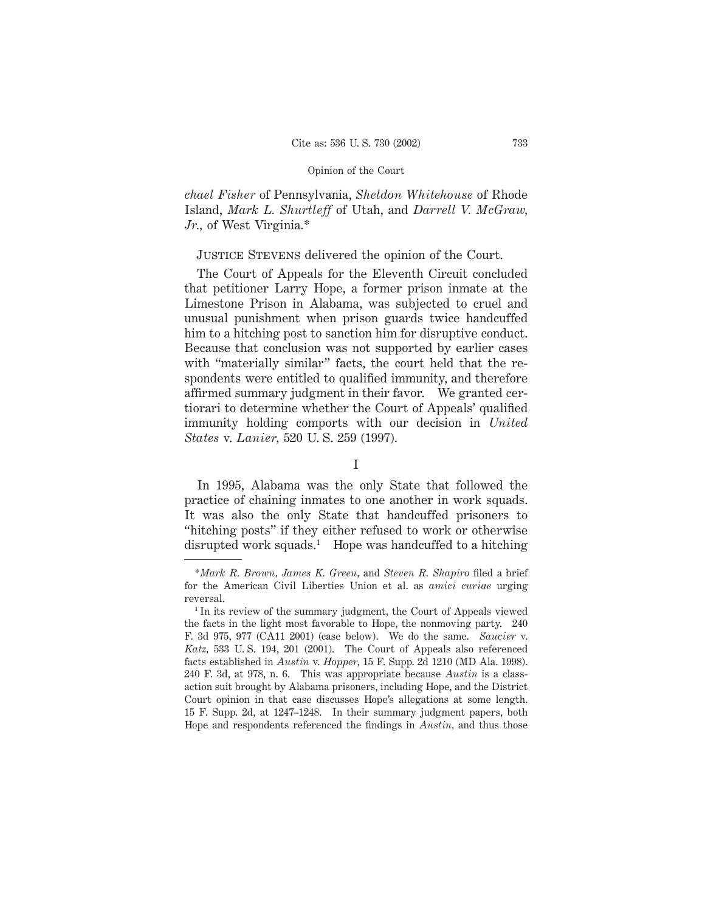*chael Fisher* of Pennsylvania, *Sheldon Whitehouse* of Rhode Island, *Mark L. Shurtleff* of Utah, and *Darrell V. McGraw, Jr.,* of West Virginia.\*

# Justice Stevens delivered the opinion of the Court.

The Court of Appeals for the Eleventh Circuit concluded that petitioner Larry Hope, a former prison inmate at the Limestone Prison in Alabama, was subjected to cruel and unusual punishment when prison guards twice handcuffed him to a hitching post to sanction him for disruptive conduct. Because that conclusion was not supported by earlier cases with "materially similar" facts, the court held that the respondents were entitled to qualified immunity, and therefore affirmed summary judgment in their favor. We granted certiorari to determine whether the Court of Appeals' qualified immunity holding comports with our decision in *United States* v. *Lanier,* 520 U. S. 259 (1997).

I

In 1995, Alabama was the only State that followed the practice of chaining inmates to one another in work squads. It was also the only State that handcuffed prisoners to "hitching posts" if they either refused to work or otherwise disrupted work squads.<sup>1</sup> Hope was handcuffed to a hitching

<sup>\*</sup>*Mark R. Brown, James K. Green,* and *Steven R. Shapiro* filed a brief for the American Civil Liberties Union et al. as *amici curiae* urging reversal.

<sup>&</sup>lt;sup>1</sup> In its review of the summary judgment, the Court of Appeals viewed the facts in the light most favorable to Hope, the nonmoving party. 240 F. 3d 975, 977 (CA11 2001) (case below). We do the same. *Saucier* v. *Katz,* 533 U. S. 194, 201 (2001). The Court of Appeals also referenced facts established in *Austin* v. *Hopper,* 15 F. Supp. 2d 1210 (MD Ala. 1998). 240 F. 3d, at 978, n. 6. This was appropriate because *Austin* is a classaction suit brought by Alabama prisoners, including Hope, and the District Court opinion in that case discusses Hope's allegations at some length. 15 F. Supp. 2d, at 1247–1248. In their summary judgment papers, both Hope and respondents referenced the findings in *Austin,* and thus those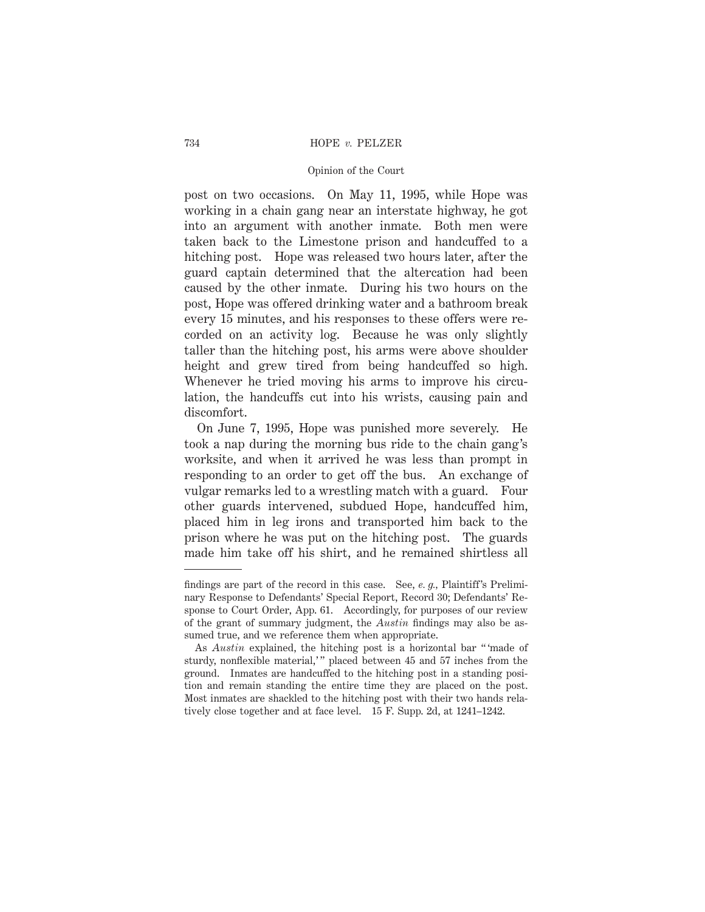#### 734 HOPE *v.* PELZER

### Opinion of the Court

post on two occasions. On May 11, 1995, while Hope was working in a chain gang near an interstate highway, he got into an argument with another inmate. Both men were taken back to the Limestone prison and handcuffed to a hitching post. Hope was released two hours later, after the guard captain determined that the altercation had been caused by the other inmate. During his two hours on the post, Hope was offered drinking water and a bathroom break every 15 minutes, and his responses to these offers were recorded on an activity log. Because he was only slightly taller than the hitching post, his arms were above shoulder height and grew tired from being handcuffed so high. Whenever he tried moving his arms to improve his circulation, the handcuffs cut into his wrists, causing pain and discomfort.

On June 7, 1995, Hope was punished more severely. He took a nap during the morning bus ride to the chain gang's worksite, and when it arrived he was less than prompt in responding to an order to get off the bus. An exchange of vulgar remarks led to a wrestling match with a guard. Four other guards intervened, subdued Hope, handcuffed him, placed him in leg irons and transported him back to the prison where he was put on the hitching post. The guards made him take off his shirt, and he remained shirtless all

findings are part of the record in this case. See, *e. g.,* Plaintiff's Preliminary Response to Defendants' Special Report, Record 30; Defendants' Response to Court Order, App. 61. Accordingly, for purposes of our review of the grant of summary judgment, the *Austin* findings may also be assumed true, and we reference them when appropriate.

As *Austin* explained, the hitching post is a horizontal bar " 'made of sturdy, nonflexible material,'" placed between 45 and 57 inches from the ground. Inmates are handcuffed to the hitching post in a standing position and remain standing the entire time they are placed on the post. Most inmates are shackled to the hitching post with their two hands relatively close together and at face level. 15 F. Supp. 2d, at 1241–1242.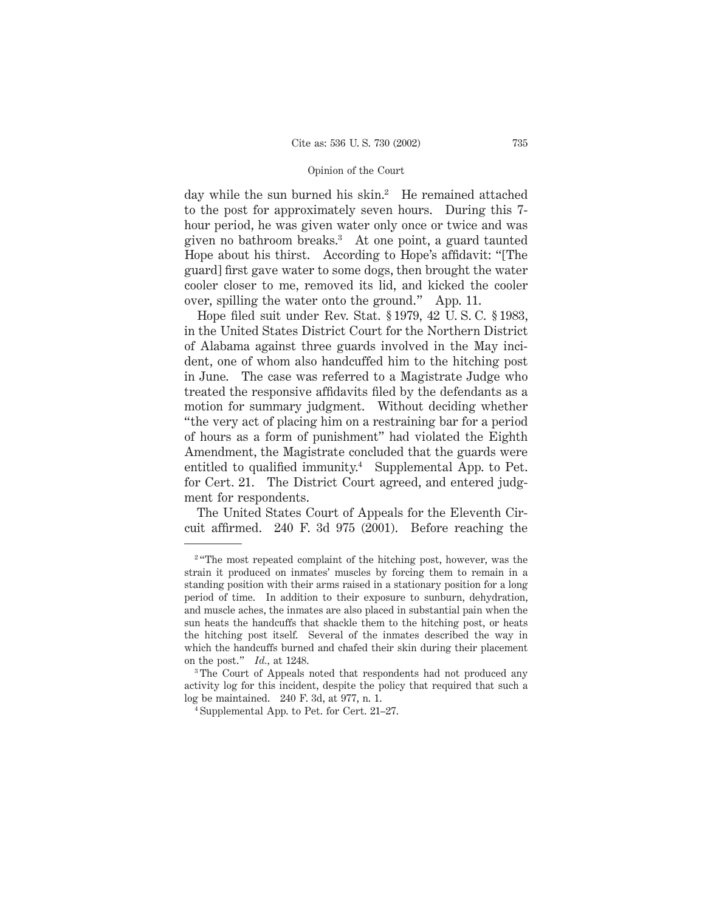day while the sun burned his skin.<sup>2</sup> He remained attached to the post for approximately seven hours. During this 7 hour period, he was given water only once or twice and was given no bathroom breaks.3 At one point, a guard taunted Hope about his thirst. According to Hope's affidavit: "[The guard] first gave water to some dogs, then brought the water cooler closer to me, removed its lid, and kicked the cooler over, spilling the water onto the ground." App. 11.

Hope filed suit under Rev. Stat. § 1979, 42 U. S. C. § 1983, in the United States District Court for the Northern District of Alabama against three guards involved in the May incident, one of whom also handcuffed him to the hitching post in June. The case was referred to a Magistrate Judge who treated the responsive affidavits filed by the defendants as a motion for summary judgment. Without deciding whether "the very act of placing him on a restraining bar for a period of hours as a form of punishment" had violated the Eighth Amendment, the Magistrate concluded that the guards were entitled to qualified immunity.4 Supplemental App. to Pet. for Cert. 21. The District Court agreed, and entered judgment for respondents.

The United States Court of Appeals for the Eleventh Circuit affirmed. 240 F. 3d 975 (2001). Before reaching the

<sup>&</sup>lt;sup>2</sup> "The most repeated complaint of the hitching post, however, was the strain it produced on inmates' muscles by forcing them to remain in a standing position with their arms raised in a stationary position for a long period of time. In addition to their exposure to sunburn, dehydration, and muscle aches, the inmates are also placed in substantial pain when the sun heats the handcuffs that shackle them to the hitching post, or heats the hitching post itself. Several of the inmates described the way in which the handcuffs burned and chafed their skin during their placement on the post." *Id.,* at 1248.

<sup>3</sup> The Court of Appeals noted that respondents had not produced any activity log for this incident, despite the policy that required that such a log be maintained. 240 F. 3d, at 977, n. 1.

<sup>4</sup> Supplemental App. to Pet. for Cert. 21–27.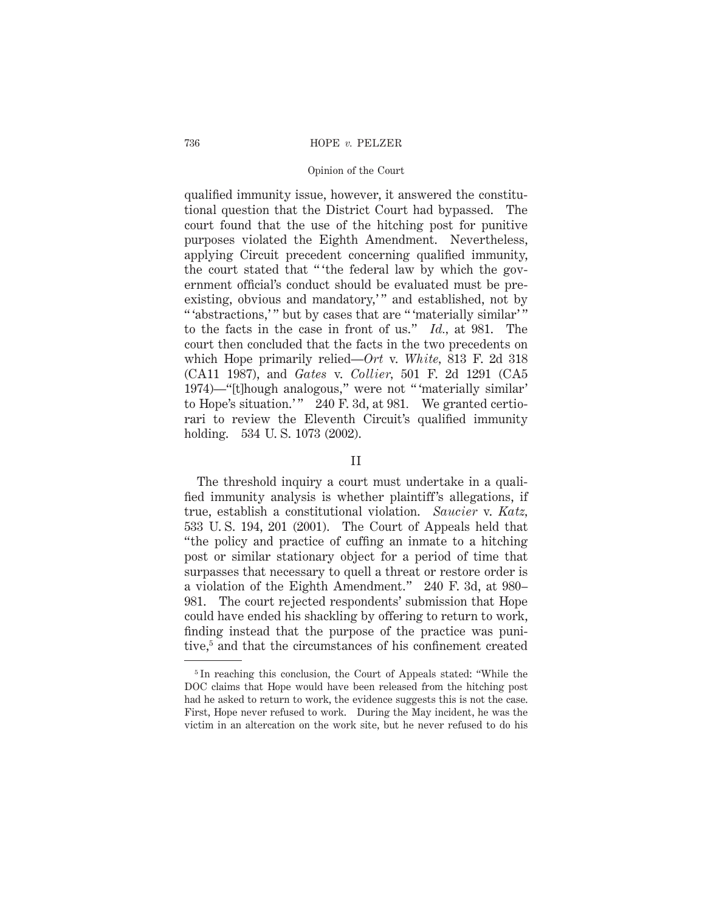#### 736 HOPE *v.* PELZER

#### Opinion of the Court

qualified immunity issue, however, it answered the constitutional question that the District Court had bypassed. The court found that the use of the hitching post for punitive purposes violated the Eighth Amendment. Nevertheless, applying Circuit precedent concerning qualified immunity, the court stated that " 'the federal law by which the government official's conduct should be evaluated must be preexisting, obvious and mandatory," and established, not by " abstractions," but by cases that are " 'materially similar'" to the facts in the case in front of us." *Id.,* at 981. The court then concluded that the facts in the two precedents on which Hope primarily relied—*Ort* v. *White,* 813 F. 2d 318 (CA11 1987), and *Gates* v. *Collier,* 501 F. 2d 1291 (CA5 1974)—"[t]hough analogous," were not " 'materially similar' to Hope's situation.'" 240 F. 3d, at 981. We granted certiorari to review the Eleventh Circuit's qualified immunity holding. 534 U. S. 1073 (2002).

### II

The threshold inquiry a court must undertake in a qualified immunity analysis is whether plaintiff's allegations, if true, establish a constitutional violation. *Saucier* v. *Katz,* 533 U. S. 194, 201 (2001). The Court of Appeals held that "the policy and practice of cuffing an inmate to a hitching post or similar stationary object for a period of time that surpasses that necessary to quell a threat or restore order is a violation of the Eighth Amendment." 240 F. 3d, at 980– 981. The court rejected respondents' submission that Hope could have ended his shackling by offering to return to work, finding instead that the purpose of the practice was punitive,<sup>5</sup> and that the circumstances of his confinement created

<sup>5</sup> In reaching this conclusion, the Court of Appeals stated: "While the DOC claims that Hope would have been released from the hitching post had he asked to return to work, the evidence suggests this is not the case. First, Hope never refused to work. During the May incident, he was the victim in an altercation on the work site, but he never refused to do his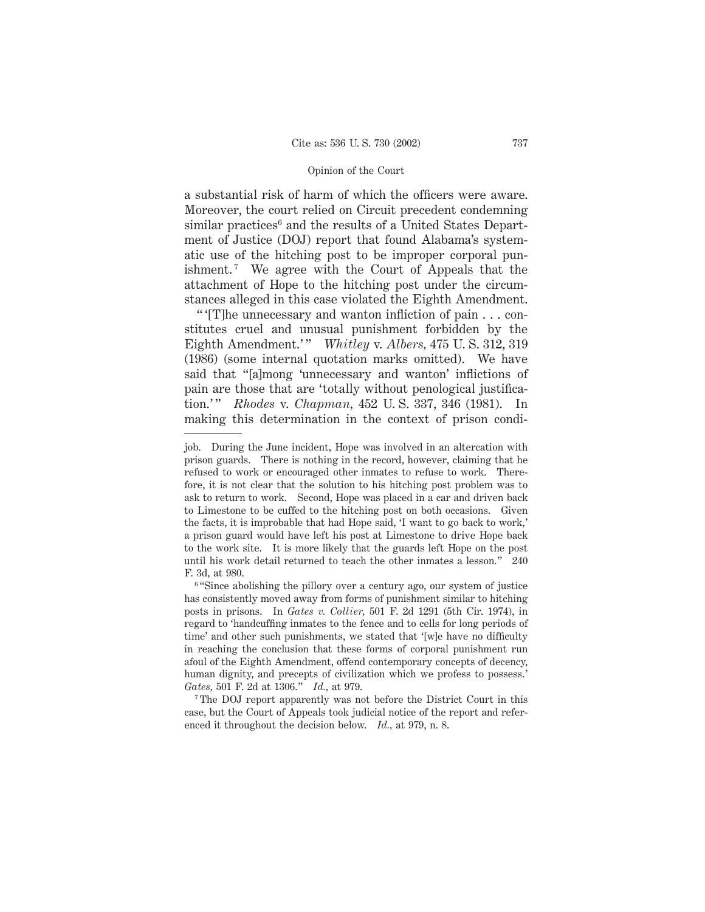a substantial risk of harm of which the officers were aware. Moreover, the court relied on Circuit precedent condemning similar practices<sup>6</sup> and the results of a United States Department of Justice (DOJ) report that found Alabama's systematic use of the hitching post to be improper corporal punishment.<sup>7</sup> We agree with the Court of Appeals that the attachment of Hope to the hitching post under the circumstances alleged in this case violated the Eighth Amendment.

" '[T]he unnecessary and wanton infliction of pain . . . constitutes cruel and unusual punishment forbidden by the Eighth Amendment.'" *Whitley* v. *Albers*, 475 U.S. 312, 319 (1986) (some internal quotation marks omitted). We have said that "[a]mong 'unnecessary and wanton' inflictions of pain are those that are 'totally without penological justification.'" *Rhodes* v. *Chapman*, 452 U.S. 337, 346 (1981). In making this determination in the context of prison condi-

job. During the June incident, Hope was involved in an altercation with prison guards. There is nothing in the record, however, claiming that he refused to work or encouraged other inmates to refuse to work. Therefore, it is not clear that the solution to his hitching post problem was to ask to return to work. Second, Hope was placed in a car and driven back to Limestone to be cuffed to the hitching post on both occasions. Given the facts, it is improbable that had Hope said, 'I want to go back to work,' a prison guard would have left his post at Limestone to drive Hope back to the work site. It is more likely that the guards left Hope on the post until his work detail returned to teach the other inmates a lesson." 240 F. 3d, at 980.

<sup>&</sup>lt;sup>6</sup> "Since abolishing the pillory over a century ago, our system of justice has consistently moved away from forms of punishment similar to hitching posts in prisons. In *Gates v. Collier,* 501 F. 2d 1291 (5th Cir. 1974), in regard to 'handcuffing inmates to the fence and to cells for long periods of time' and other such punishments, we stated that '[w]e have no difficulty in reaching the conclusion that these forms of corporal punishment run afoul of the Eighth Amendment, offend contemporary concepts of decency, human dignity, and precepts of civilization which we profess to possess.' *Gates,* 501 F. 2d at 1306." *Id.,* at 979.

<sup>7</sup> The DOJ report apparently was not before the District Court in this case, but the Court of Appeals took judicial notice of the report and referenced it throughout the decision below. *Id.,* at 979, n. 8.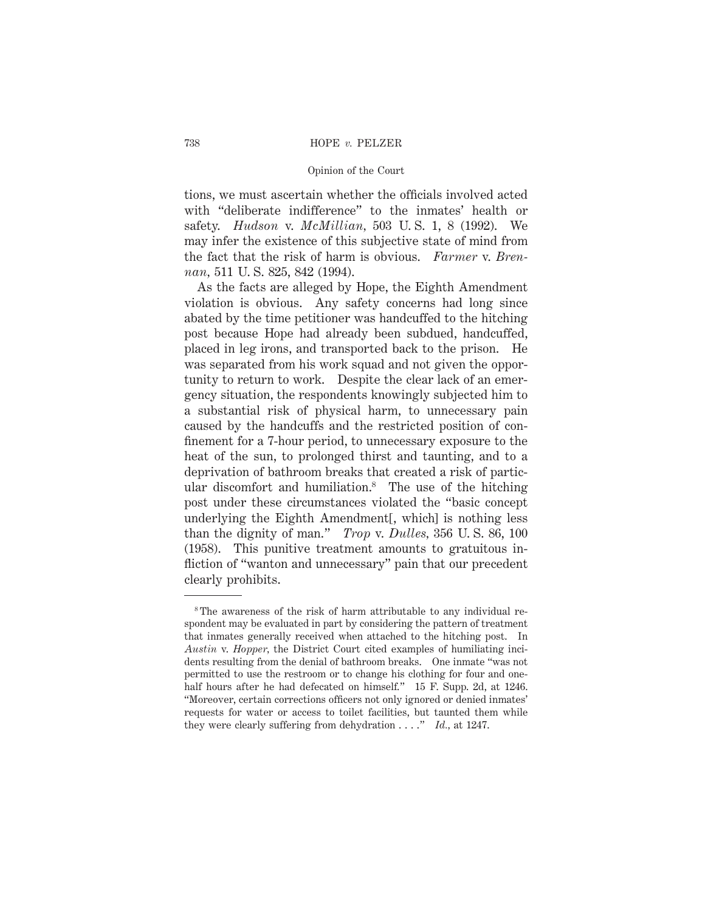tions, we must ascertain whether the officials involved acted with "deliberate indifference" to the inmates' health or safety. *Hudson* v. *McMillian,* 503 U. S. 1, 8 (1992). We may infer the existence of this subjective state of mind from the fact that the risk of harm is obvious. *Farmer* v. *Brennan,* 511 U. S. 825, 842 (1994).

As the facts are alleged by Hope, the Eighth Amendment violation is obvious. Any safety concerns had long since abated by the time petitioner was handcuffed to the hitching post because Hope had already been subdued, handcuffed, placed in leg irons, and transported back to the prison. He was separated from his work squad and not given the opportunity to return to work. Despite the clear lack of an emergency situation, the respondents knowingly subjected him to a substantial risk of physical harm, to unnecessary pain caused by the handcuffs and the restricted position of confinement for a 7-hour period, to unnecessary exposure to the heat of the sun, to prolonged thirst and taunting, and to a deprivation of bathroom breaks that created a risk of particular discomfort and humiliation.8 The use of the hitching post under these circumstances violated the "basic concept underlying the Eighth Amendment[, which] is nothing less than the dignity of man." *Trop* v. *Dulles,* 356 U. S. 86, 100 (1958). This punitive treatment amounts to gratuitous infliction of "wanton and unnecessary" pain that our precedent clearly prohibits.

<sup>&</sup>lt;sup>8</sup>The awareness of the risk of harm attributable to any individual respondent may be evaluated in part by considering the pattern of treatment that inmates generally received when attached to the hitching post. In *Austin* v. *Hopper,* the District Court cited examples of humiliating incidents resulting from the denial of bathroom breaks. One inmate "was not permitted to use the restroom or to change his clothing for four and onehalf hours after he had defecated on himself." 15 F. Supp. 2d, at 1246. "Moreover, certain corrections officers not only ignored or denied inmates' requests for water or access to toilet facilities, but taunted them while they were clearly suffering from dehydration . . . ." *Id.,* at 1247.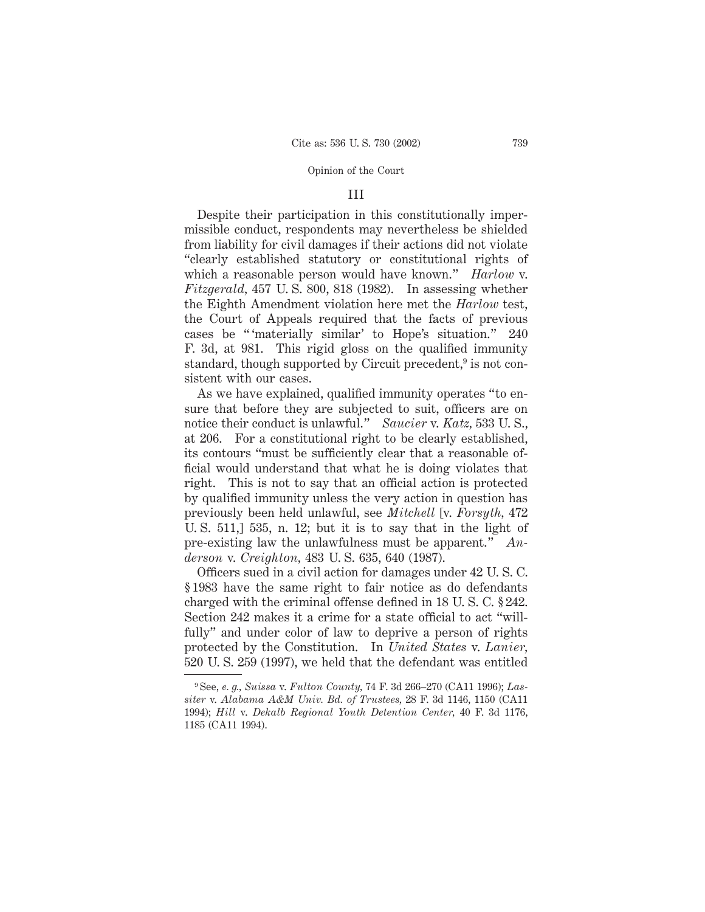#### III

Despite their participation in this constitutionally impermissible conduct, respondents may nevertheless be shielded from liability for civil damages if their actions did not violate "clearly established statutory or constitutional rights of which a reasonable person would have known." *Harlow* v. *Fitzgerald,* 457 U. S. 800, 818 (1982). In assessing whether the Eighth Amendment violation here met the *Harlow* test, the Court of Appeals required that the facts of previous cases be " 'materially similar' to Hope's situation." 240 F. 3d, at 981. This rigid gloss on the qualified immunity standard, though supported by Circuit precedent,<sup>9</sup> is not consistent with our cases.

As we have explained, qualified immunity operates "to ensure that before they are subjected to suit, officers are on notice their conduct is unlawful." *Saucier* v. *Katz,* 533 U. S., at 206. For a constitutional right to be clearly established, its contours "must be sufficiently clear that a reasonable official would understand that what he is doing violates that right. This is not to say that an official action is protected by qualified immunity unless the very action in question has previously been held unlawful, see *Mitchell* [v. *Forsyth,* 472 U. S. 511,] 535, n. 12; but it is to say that in the light of pre-existing law the unlawfulness must be apparent." *Anderson* v. *Creighton,* 483 U. S. 635, 640 (1987).

Officers sued in a civil action for damages under 42 U. S. C. § 1983 have the same right to fair notice as do defendants charged with the criminal offense defined in 18 U. S. C. § 242. Section 242 makes it a crime for a state official to act "willfully" and under color of law to deprive a person of rights protected by the Constitution. In *United States* v. *Lanier,* 520 U. S. 259 (1997), we held that the defendant was entitled

<sup>9</sup> See, *e. g., Suissa* v. *Fulton County,* 74 F. 3d 266–270 (CA11 1996); *Lassiter* v. *Alabama A&M Univ. Bd. of Trustees,* 28 F. 3d 1146, 1150 (CA11 1994); *Hill* v. *Dekalb Regional Youth Detention Center,* 40 F. 3d 1176, 1185 (CA11 1994).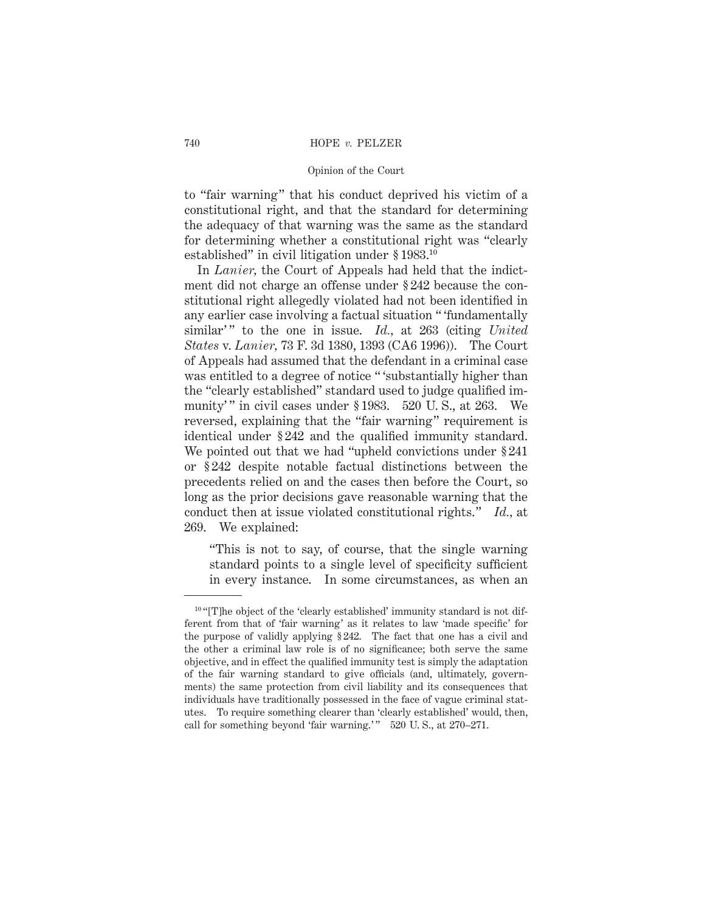to "fair warning" that his conduct deprived his victim of a constitutional right, and that the standard for determining the adequacy of that warning was the same as the standard for determining whether a constitutional right was "clearly established" in civil litigation under § 1983.10

In *Lanier,* the Court of Appeals had held that the indictment did not charge an offense under § 242 because the constitutional right allegedly violated had not been identified in any earlier case involving a factual situation " 'fundamentally similar'" to the one in issue. *Id.*, at 263 (citing *United States* v. *Lanier,* 73 F. 3d 1380, 1393 (CA6 1996)). The Court of Appeals had assumed that the defendant in a criminal case was entitled to a degree of notice "'substantially higher than the "clearly established" standard used to judge qualified immunity'" in civil cases under § 1983. 520 U.S., at 263. We reversed, explaining that the "fair warning" requirement is identical under § 242 and the qualified immunity standard. We pointed out that we had "upheld convictions under § 241 or § 242 despite notable factual distinctions between the precedents relied on and the cases then before the Court, so long as the prior decisions gave reasonable warning that the conduct then at issue violated constitutional rights." *Id.,* at 269. We explained:

"This is not to say, of course, that the single warning standard points to a single level of specificity sufficient in every instance. In some circumstances, as when an

 $10$  "[T]he object of the 'clearly established' immunity standard is not different from that of 'fair warning' as it relates to law 'made specific' for the purpose of validly applying § 242. The fact that one has a civil and the other a criminal law role is of no significance; both serve the same objective, and in effect the qualified immunity test is simply the adaptation of the fair warning standard to give officials (and, ultimately, governments) the same protection from civil liability and its consequences that individuals have traditionally possessed in the face of vague criminal statutes. To require something clearer than 'clearly established' would, then, call for something beyond 'fair warning.'" 520 U.S., at 270–271.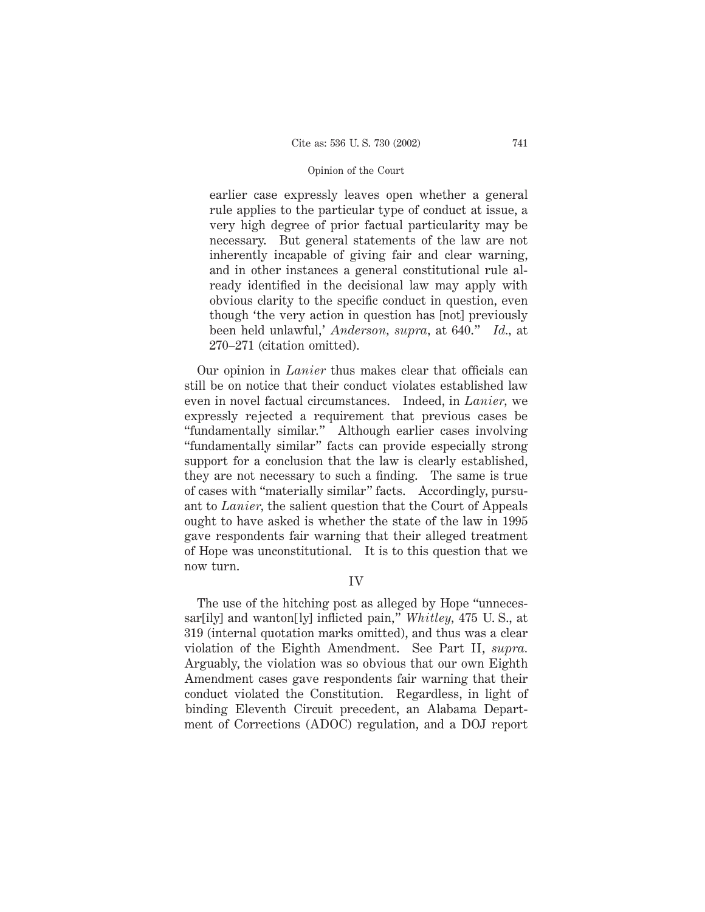earlier case expressly leaves open whether a general rule applies to the particular type of conduct at issue, a very high degree of prior factual particularity may be necessary. But general statements of the law are not inherently incapable of giving fair and clear warning, and in other instances a general constitutional rule already identified in the decisional law may apply with obvious clarity to the specific conduct in question, even though 'the very action in question has [not] previously been held unlawful,' *Anderson, supra,* at 640." *Id.,* at 270–271 (citation omitted).

Our opinion in *Lanier* thus makes clear that officials can still be on notice that their conduct violates established law even in novel factual circumstances. Indeed, in *Lanier,* we expressly rejected a requirement that previous cases be "fundamentally similar." Although earlier cases involving "fundamentally similar" facts can provide especially strong support for a conclusion that the law is clearly established, they are not necessary to such a finding. The same is true of cases with "materially similar" facts. Accordingly, pursuant to *Lanier,* the salient question that the Court of Appeals ought to have asked is whether the state of the law in 1995 gave respondents fair warning that their alleged treatment of Hope was unconstitutional. It is to this question that we now turn.

### IV

The use of the hitching post as alleged by Hope "unnecessar[ily] and wanton[ly] inflicted pain," *Whitley,* 475 U. S., at 319 (internal quotation marks omitted), and thus was a clear violation of the Eighth Amendment. See Part II, *supra.* Arguably, the violation was so obvious that our own Eighth Amendment cases gave respondents fair warning that their conduct violated the Constitution. Regardless, in light of binding Eleventh Circuit precedent, an Alabama Department of Corrections (ADOC) regulation, and a DOJ report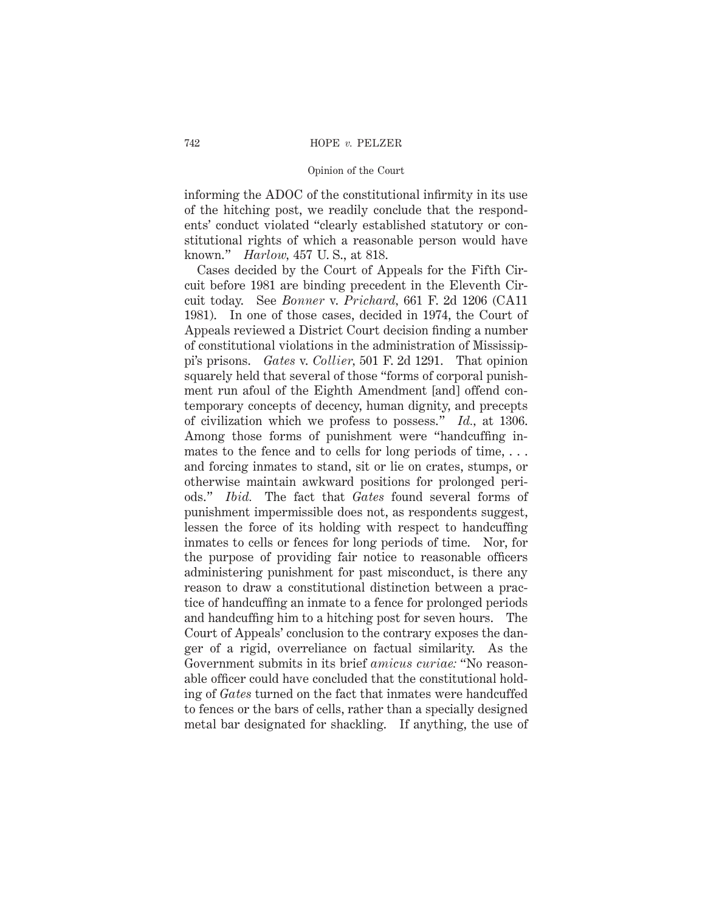informing the ADOC of the constitutional infirmity in its use of the hitching post, we readily conclude that the respondents' conduct violated "clearly established statutory or constitutional rights of which a reasonable person would have known." *Harlow,* 457 U. S., at 818.

Cases decided by the Court of Appeals for the Fifth Circuit before 1981 are binding precedent in the Eleventh Circuit today. See *Bonner* v. *Prichard,* 661 F. 2d 1206 (CA11 1981). In one of those cases, decided in 1974, the Court of Appeals reviewed a District Court decision finding a number of constitutional violations in the administration of Mississippi's prisons. *Gates* v. *Collier,* 501 F. 2d 1291. That opinion squarely held that several of those "forms of corporal punishment run afoul of the Eighth Amendment [and] offend contemporary concepts of decency, human dignity, and precepts of civilization which we profess to possess." *Id.,* at 1306. Among those forms of punishment were "handcuffing inmates to the fence and to cells for long periods of time, ... and forcing inmates to stand, sit or lie on crates, stumps, or otherwise maintain awkward positions for prolonged periods." *Ibid.* The fact that *Gates* found several forms of punishment impermissible does not, as respondents suggest, lessen the force of its holding with respect to handcuffing inmates to cells or fences for long periods of time. Nor, for the purpose of providing fair notice to reasonable officers administering punishment for past misconduct, is there any reason to draw a constitutional distinction between a practice of handcuffing an inmate to a fence for prolonged periods and handcuffing him to a hitching post for seven hours. The Court of Appeals' conclusion to the contrary exposes the danger of a rigid, overreliance on factual similarity. As the Government submits in its brief *amicus curiae:* "No reasonable officer could have concluded that the constitutional holding of *Gates* turned on the fact that inmates were handcuffed to fences or the bars of cells, rather than a specially designed metal bar designated for shackling. If anything, the use of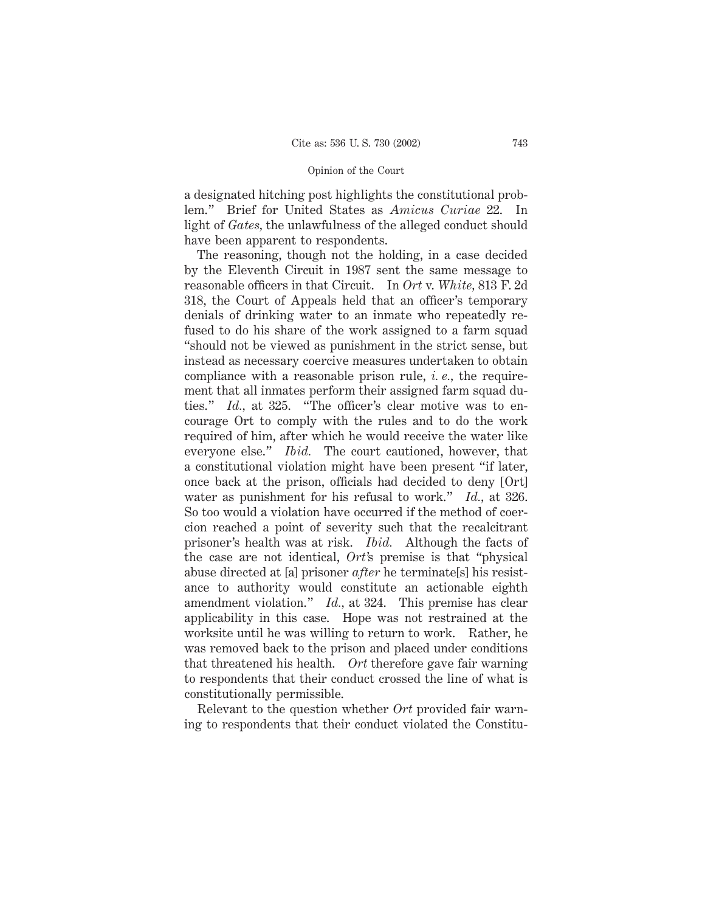a designated hitching post highlights the constitutional problem." Brief for United States as *Amicus Curiae* 22. In light of *Gates,* the unlawfulness of the alleged conduct should have been apparent to respondents.

The reasoning, though not the holding, in a case decided by the Eleventh Circuit in 1987 sent the same message to reasonable officers in that Circuit. In *Ort* v. *White,* 813 F. 2d 318, the Court of Appeals held that an officer's temporary denials of drinking water to an inmate who repeatedly refused to do his share of the work assigned to a farm squad "should not be viewed as punishment in the strict sense, but instead as necessary coercive measures undertaken to obtain compliance with a reasonable prison rule, *i. e.,* the requirement that all inmates perform their assigned farm squad duties." *Id.*, at 325. "The officer's clear motive was to encourage Ort to comply with the rules and to do the work required of him, after which he would receive the water like everyone else." *Ibid.* The court cautioned, however, that a constitutional violation might have been present "if later, once back at the prison, officials had decided to deny [Ort] water as punishment for his refusal to work." *Id.,* at 326. So too would a violation have occurred if the method of coercion reached a point of severity such that the recalcitrant prisoner's health was at risk. *Ibid.* Although the facts of the case are not identical, *Ort'*s premise is that "physical abuse directed at [a] prisoner *after* he terminate[s] his resistance to authority would constitute an actionable eighth amendment violation." *Id.,* at 324. This premise has clear applicability in this case. Hope was not restrained at the worksite until he was willing to return to work. Rather, he was removed back to the prison and placed under conditions that threatened his health. *Ort* therefore gave fair warning to respondents that their conduct crossed the line of what is constitutionally permissible.

Relevant to the question whether *Ort* provided fair warning to respondents that their conduct violated the Constitu-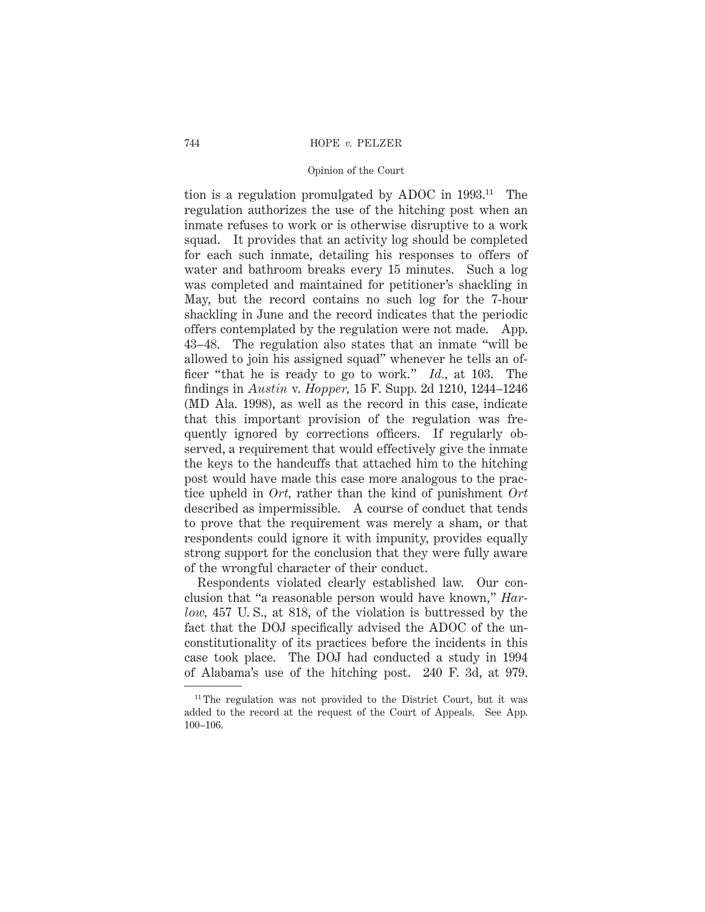tion is a regulation promulgated by ADOC in 1993.11 The regulation authorizes the use of the hitching post when an inmate refuses to work or is otherwise disruptive to a work squad. It provides that an activity log should be completed for each such inmate, detailing his responses to offers of water and bathroom breaks every 15 minutes. Such a log was completed and maintained for petitioner's shackling in May, but the record contains no such log for the 7-hour shackling in June and the record indicates that the periodic offers contemplated by the regulation were not made. App. 43–48. The regulation also states that an inmate "will be allowed to join his assigned squad" whenever he tells an officer "that he is ready to go to work." *Id.,* at 103. The findings in *Austin* v. *Hopper,* 15 F. Supp. 2d 1210, 1244–1246 (MD Ala. 1998), as well as the record in this case, indicate that this important provision of the regulation was frequently ignored by corrections officers. If regularly observed, a requirement that would effectively give the inmate the keys to the handcuffs that attached him to the hitching post would have made this case more analogous to the practice upheld in *Ort,* rather than the kind of punishment *Ort* described as impermissible. A course of conduct that tends to prove that the requirement was merely a sham, or that respondents could ignore it with impunity, provides equally strong support for the conclusion that they were fully aware of the wrongful character of their conduct.

Respondents violated clearly established law. Our conclusion that "a reasonable person would have known," *Harlow,* 457 U. S., at 818, of the violation is buttressed by the fact that the DOJ specifically advised the ADOC of the unconstitutionality of its practices before the incidents in this case took place. The DOJ had conducted a study in 1994 of Alabama's use of the hitching post. 240 F. 3d, at 979.

<sup>&</sup>lt;sup>11</sup> The regulation was not provided to the District Court, but it was added to the record at the request of the Court of Appeals. See App. 100–106.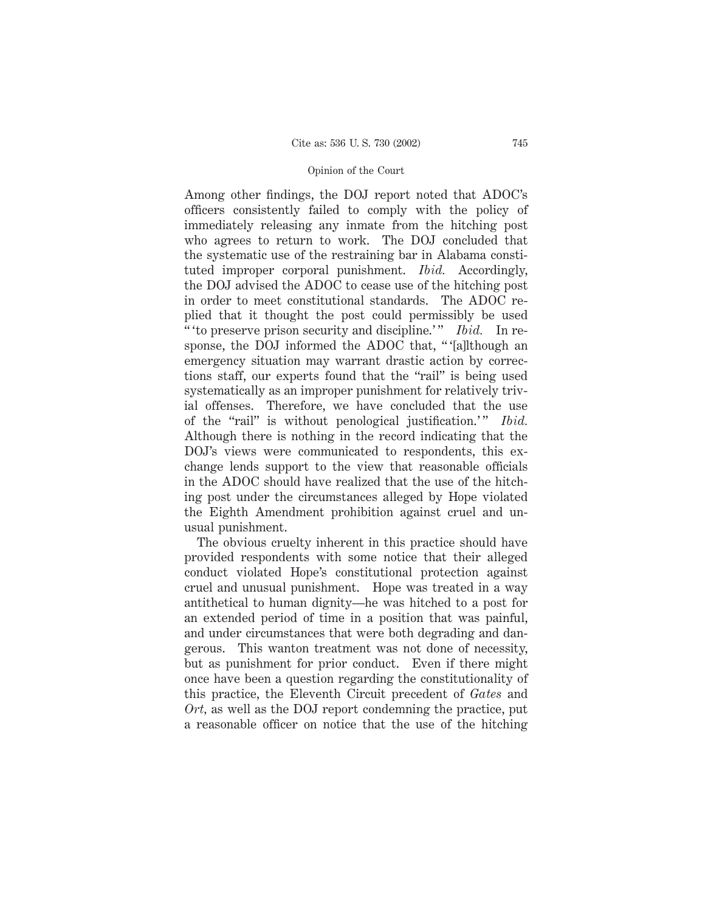Among other findings, the DOJ report noted that ADOC's officers consistently failed to comply with the policy of immediately releasing any inmate from the hitching post who agrees to return to work. The DOJ concluded that the systematic use of the restraining bar in Alabama constituted improper corporal punishment. *Ibid.* Accordingly, the DOJ advised the ADOC to cease use of the hitching post in order to meet constitutional standards. The ADOC replied that it thought the post could permissibly be used " " to preserve prison security and discipline." *Ibid.* In response, the DOJ informed the ADOC that, "'[a]lthough an emergency situation may warrant drastic action by corrections staff, our experts found that the "rail" is being used systematically as an improper punishment for relatively trivial offenses. Therefore, we have concluded that the use of the "rail" is without penological justification." *Ibid.* Although there is nothing in the record indicating that the DOJ's views were communicated to respondents, this exchange lends support to the view that reasonable officials in the ADOC should have realized that the use of the hitching post under the circumstances alleged by Hope violated the Eighth Amendment prohibition against cruel and unusual punishment.

The obvious cruelty inherent in this practice should have provided respondents with some notice that their alleged conduct violated Hope's constitutional protection against cruel and unusual punishment. Hope was treated in a way antithetical to human dignity—he was hitched to a post for an extended period of time in a position that was painful, and under circumstances that were both degrading and dangerous. This wanton treatment was not done of necessity, but as punishment for prior conduct. Even if there might once have been a question regarding the constitutionality of this practice, the Eleventh Circuit precedent of *Gates* and *Ort,* as well as the DOJ report condemning the practice, put a reasonable officer on notice that the use of the hitching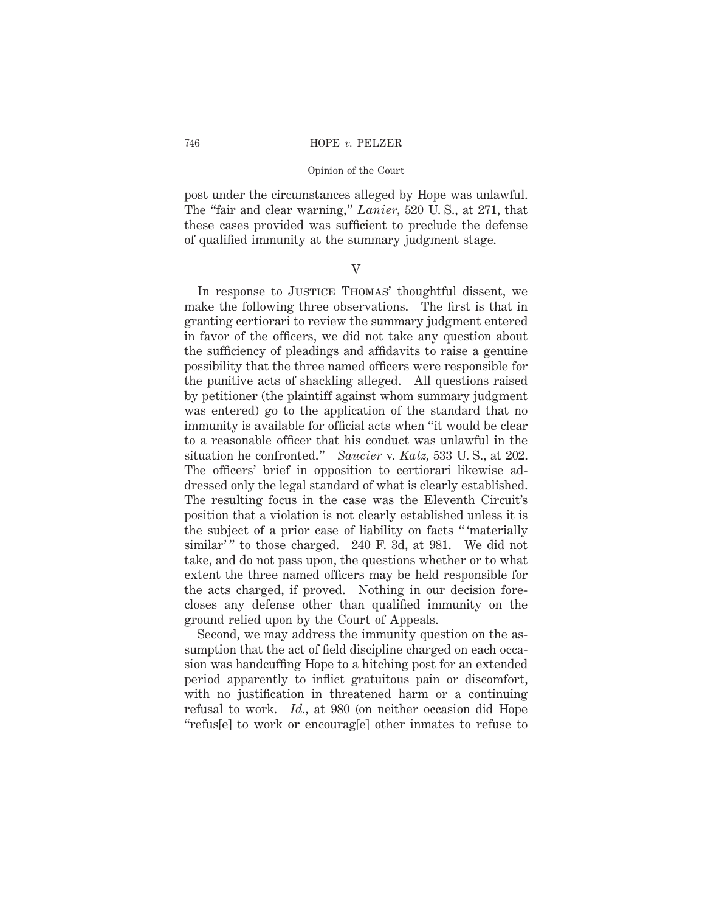#### 746 HOPE *v.* PELZER

#### Opinion of the Court

post under the circumstances alleged by Hope was unlawful. The "fair and clear warning," *Lanier,* 520 U. S., at 271, that these cases provided was sufficient to preclude the defense of qualified immunity at the summary judgment stage.

# V

In response to JUSTICE THOMAS' thoughtful dissent, we make the following three observations. The first is that in granting certiorari to review the summary judgment entered in favor of the officers, we did not take any question about the sufficiency of pleadings and affidavits to raise a genuine possibility that the three named officers were responsible for the punitive acts of shackling alleged. All questions raised by petitioner (the plaintiff against whom summary judgment was entered) go to the application of the standard that no immunity is available for official acts when "it would be clear to a reasonable officer that his conduct was unlawful in the situation he confronted." *Saucier* v. *Katz,* 533 U. S., at 202. The officers' brief in opposition to certiorari likewise addressed only the legal standard of what is clearly established. The resulting focus in the case was the Eleventh Circuit's position that a violation is not clearly established unless it is the subject of a prior case of liability on facts " 'materially similar'" to those charged. 240 F. 3d, at 981. We did not take, and do not pass upon, the questions whether or to what extent the three named officers may be held responsible for the acts charged, if proved. Nothing in our decision forecloses any defense other than qualified immunity on the ground relied upon by the Court of Appeals.

Second, we may address the immunity question on the assumption that the act of field discipline charged on each occasion was handcuffing Hope to a hitching post for an extended period apparently to inflict gratuitous pain or discomfort, with no justification in threatened harm or a continuing refusal to work. *Id.,* at 980 (on neither occasion did Hope "refus[e] to work or encourag[e] other inmates to refuse to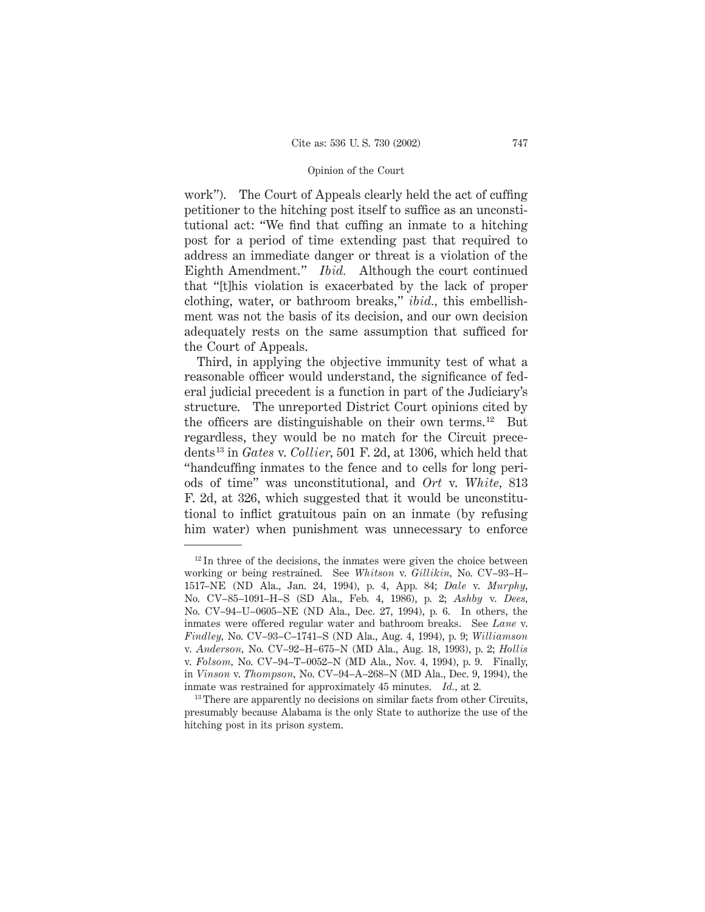work"). The Court of Appeals clearly held the act of cuffing petitioner to the hitching post itself to suffice as an unconstitutional act: "We find that cuffing an inmate to a hitching post for a period of time extending past that required to address an immediate danger or threat is a violation of the Eighth Amendment." *Ibid.* Although the court continued that "[t]his violation is exacerbated by the lack of proper clothing, water, or bathroom breaks," *ibid.,* this embellishment was not the basis of its decision, and our own decision adequately rests on the same assumption that sufficed for the Court of Appeals.

Third, in applying the objective immunity test of what a reasonable officer would understand, the significance of federal judicial precedent is a function in part of the Judiciary's structure. The unreported District Court opinions cited by the officers are distinguishable on their own terms.<sup>12</sup> But regardless, they would be no match for the Circuit precedents13 in *Gates* v. *Collier,* 501 F. 2d, at 1306, which held that "handcuffing inmates to the fence and to cells for long periods of time" was unconstitutional, and *Ort* v. *White,* 813 F. 2d, at 326, which suggested that it would be unconstitutional to inflict gratuitous pain on an inmate (by refusing him water) when punishment was unnecessary to enforce

 $12$  In three of the decisions, the inmates were given the choice between working or being restrained. See *Whitson* v. *Gillikin,* No. CV–93–H– 1517–NE (ND Ala., Jan. 24, 1994), p. 4, App. 84; *Dale* v. *Murphy,* No. CV–85–1091–H–S (SD Ala., Feb. 4, 1986), p. 2; *Ashby* v. *Dees,* No. CV–94–U–0605–NE (ND Ala., Dec. 27, 1994), p. 6. In others, the inmates were offered regular water and bathroom breaks. See *Lane* v. *Findley,* No. CV–93–C–1741–S (ND Ala., Aug. 4, 1994), p. 9; *Williamson* v. *Anderson,* No. CV–92–H–675–N (MD Ala., Aug. 18, 1993), p. 2; *Hollis* v. *Folsom,* No. CV–94–T–0052–N (MD Ala., Nov. 4, 1994), p. 9. Finally, in *Vinson* v. *Thompson,* No. CV–94–A–268–N (MD Ala., Dec. 9, 1994), the inmate was restrained for approximately 45 minutes. *Id.,* at 2.

<sup>&</sup>lt;sup>13</sup> There are apparently no decisions on similar facts from other Circuits, presumably because Alabama is the only State to authorize the use of the hitching post in its prison system.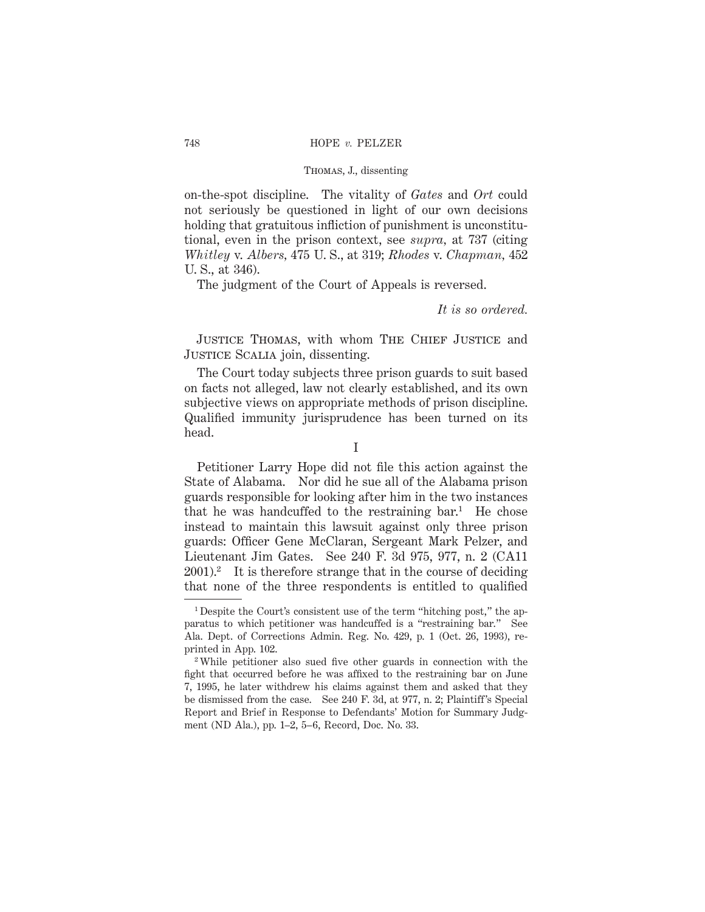on-the-spot discipline. The vitality of *Gates* and *Ort* could not seriously be questioned in light of our own decisions holding that gratuitous infliction of punishment is unconstitutional, even in the prison context, see *supra,* at 737 (citing *Whitley* v. *Albers,* 475 U. S., at 319; *Rhodes* v. *Chapman,* 452 U. S., at 346).

The judgment of the Court of Appeals is reversed.

*It is so ordered.*

JUSTICE THOMAS, with whom THE CHIEF JUSTICE and JUSTICE SCALIA join, dissenting.

The Court today subjects three prison guards to suit based on facts not alleged, law not clearly established, and its own subjective views on appropriate methods of prison discipline. Qualified immunity jurisprudence has been turned on its head.

Petitioner Larry Hope did not file this action against the State of Alabama. Nor did he sue all of the Alabama prison guards responsible for looking after him in the two instances that he was handcuffed to the restraining  $bar<sup>1</sup>$ . He chose instead to maintain this lawsuit against only three prison guards: Officer Gene McClaran, Sergeant Mark Pelzer, and Lieutenant Jim Gates. See 240 F. 3d 975, 977, n. 2 (CA11  $2001$ .<sup>2</sup> It is therefore strange that in the course of deciding that none of the three respondents is entitled to qualified

<sup>&</sup>lt;sup>1</sup> Despite the Court's consistent use of the term "hitching post," the apparatus to which petitioner was handcuffed is a "restraining bar." See Ala. Dept. of Corrections Admin. Reg. No. 429, p. 1 (Oct. 26, 1993), reprinted in App. 102.

<sup>2</sup> While petitioner also sued five other guards in connection with the fight that occurred before he was affixed to the restraining bar on June 7, 1995, he later withdrew his claims against them and asked that they be dismissed from the case. See 240 F. 3d, at 977, n. 2; Plaintiff's Special Report and Brief in Response to Defendants' Motion for Summary Judgment (ND Ala.), pp. 1–2, 5–6, Record, Doc. No. 33.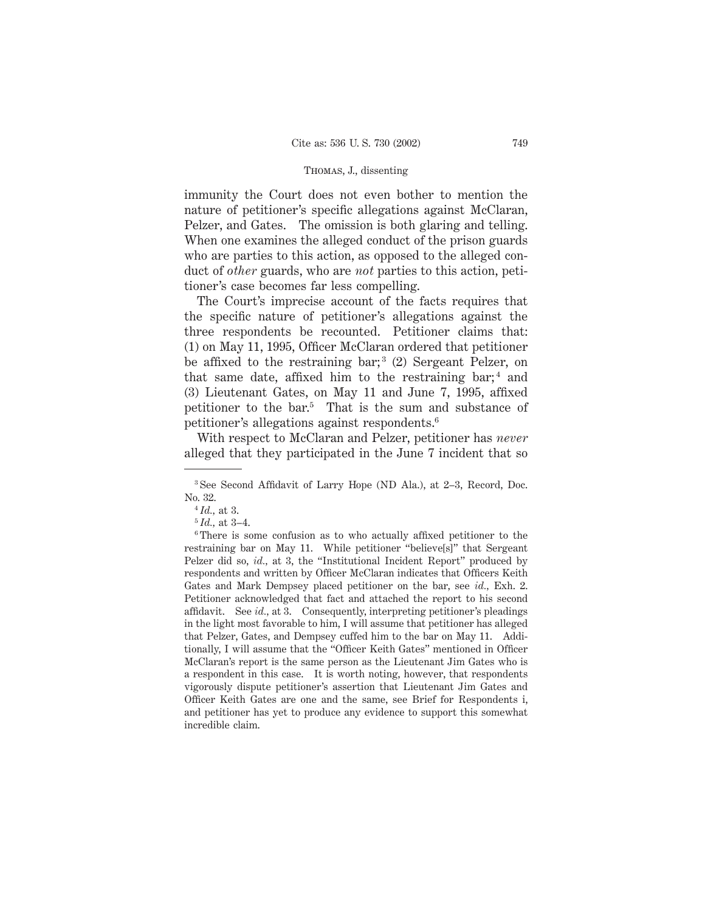immunity the Court does not even bother to mention the nature of petitioner's specific allegations against McClaran, Pelzer, and Gates. The omission is both glaring and telling. When one examines the alleged conduct of the prison guards who are parties to this action, as opposed to the alleged conduct of *other* guards, who are *not* parties to this action, petitioner's case becomes far less compelling.

The Court's imprecise account of the facts requires that the specific nature of petitioner's allegations against the three respondents be recounted. Petitioner claims that: (1) on May 11, 1995, Officer McClaran ordered that petitioner be affixed to the restraining bar;<sup>3</sup> (2) Sergeant Pelzer, on that same date, affixed him to the restraining bar;  $4 \text{ and } 4$ (3) Lieutenant Gates, on May 11 and June 7, 1995, affixed petitioner to the bar.5 That is the sum and substance of petitioner's allegations against respondents.6

With respect to McClaran and Pelzer, petitioner has *never* alleged that they participated in the June 7 incident that so

<sup>3</sup> See Second Affidavit of Larry Hope (ND Ala.), at 2–3, Record, Doc. No. 32.

<sup>4</sup> *Id.,* at 3.

<sup>5</sup> *Id.,* at 3–4.

<sup>&</sup>lt;sup>6</sup>There is some confusion as to who actually affixed petitioner to the restraining bar on May 11. While petitioner "believe[s]" that Sergeant Pelzer did so, *id.,* at 3, the "Institutional Incident Report" produced by respondents and written by Officer McClaran indicates that Officers Keith Gates and Mark Dempsey placed petitioner on the bar, see *id.,* Exh. 2. Petitioner acknowledged that fact and attached the report to his second affidavit. See *id.,* at 3. Consequently, interpreting petitioner's pleadings in the light most favorable to him, I will assume that petitioner has alleged that Pelzer, Gates, and Dempsey cuffed him to the bar on May 11. Additionally, I will assume that the "Officer Keith Gates" mentioned in Officer McClaran's report is the same person as the Lieutenant Jim Gates who is a respondent in this case. It is worth noting, however, that respondents vigorously dispute petitioner's assertion that Lieutenant Jim Gates and Officer Keith Gates are one and the same, see Brief for Respondents i, and petitioner has yet to produce any evidence to support this somewhat incredible claim.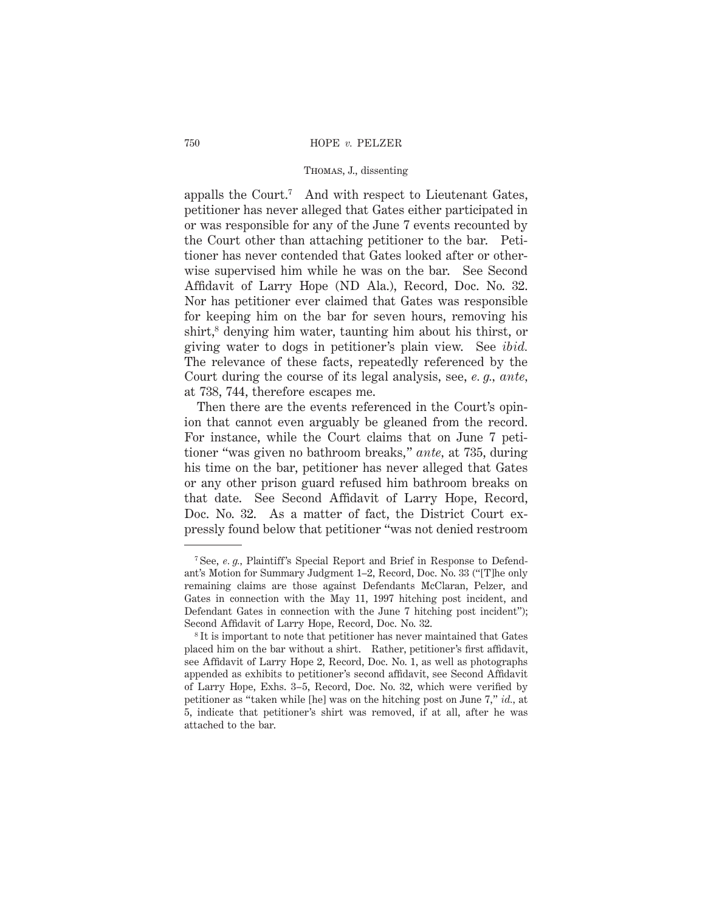appalls the Court.7 And with respect to Lieutenant Gates, petitioner has never alleged that Gates either participated in or was responsible for any of the June 7 events recounted by the Court other than attaching petitioner to the bar. Petitioner has never contended that Gates looked after or otherwise supervised him while he was on the bar. See Second Affidavit of Larry Hope (ND Ala.), Record, Doc. No. 32. Nor has petitioner ever claimed that Gates was responsible for keeping him on the bar for seven hours, removing his  $\text{shirt}$ <sup>8</sup> denying him water, taunting him about his thirst, or giving water to dogs in petitioner's plain view. See *ibid.* The relevance of these facts, repeatedly referenced by the Court during the course of its legal analysis, see, *e. g., ante,* at 738, 744, therefore escapes me.

Then there are the events referenced in the Court's opinion that cannot even arguably be gleaned from the record. For instance, while the Court claims that on June 7 petitioner "was given no bathroom breaks," *ante,* at 735, during his time on the bar, petitioner has never alleged that Gates or any other prison guard refused him bathroom breaks on that date. See Second Affidavit of Larry Hope, Record, Doc. No. 32. As a matter of fact, the District Court expressly found below that petitioner "was not denied restroom

<sup>&</sup>lt;sup>7</sup> See, *e. g.*, Plaintiff's Special Report and Brief in Response to Defendant's Motion for Summary Judgment 1–2, Record, Doc. No. 33 ("[T]he only remaining claims are those against Defendants McClaran, Pelzer, and Gates in connection with the May 11, 1997 hitching post incident, and Defendant Gates in connection with the June 7 hitching post incident"); Second Affidavit of Larry Hope, Record, Doc. No. 32.

<sup>8</sup> It is important to note that petitioner has never maintained that Gates placed him on the bar without a shirt. Rather, petitioner's first affidavit, see Affidavit of Larry Hope 2, Record, Doc. No. 1, as well as photographs appended as exhibits to petitioner's second affidavit, see Second Affidavit of Larry Hope, Exhs. 3–5, Record, Doc. No. 32, which were verified by petitioner as "taken while [he] was on the hitching post on June 7," *id.,* at 5, indicate that petitioner's shirt was removed, if at all, after he was attached to the bar.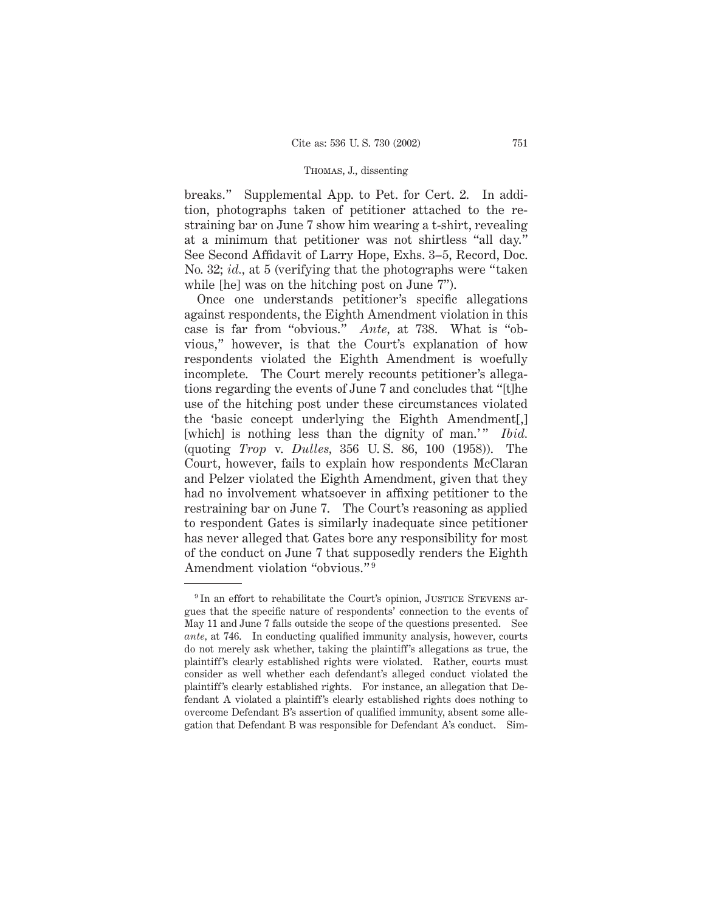breaks." Supplemental App. to Pet. for Cert. 2. In addition, photographs taken of petitioner attached to the restraining bar on June 7 show him wearing a t-shirt, revealing at a minimum that petitioner was not shirtless "all day." See Second Affidavit of Larry Hope, Exhs. 3–5, Record, Doc. No. 32; *id.,* at 5 (verifying that the photographs were "taken while [he] was on the hitching post on June 7").

Once one understands petitioner's specific allegations against respondents, the Eighth Amendment violation in this case is far from "obvious." *Ante,* at 738. What is "obvious," however, is that the Court's explanation of how respondents violated the Eighth Amendment is woefully incomplete. The Court merely recounts petitioner's allegations regarding the events of June 7 and concludes that "[t]he use of the hitching post under these circumstances violated the 'basic concept underlying the Eighth Amendment[,] [which] is nothing less than the dignity of man.'" *Ibid.* (quoting *Trop* v. *Dulles,* 356 U. S. 86, 100 (1958)). The Court, however, fails to explain how respondents McClaran and Pelzer violated the Eighth Amendment, given that they had no involvement whatsoever in affixing petitioner to the restraining bar on June 7. The Court's reasoning as applied to respondent Gates is similarly inadequate since petitioner has never alleged that Gates bore any responsibility for most of the conduct on June 7 that supposedly renders the Eighth Amendment violation "obvious."<sup>9</sup>

<sup>&</sup>lt;sup>9</sup> In an effort to rehabilitate the Court's opinion, JUSTICE STEVENS argues that the specific nature of respondents' connection to the events of May 11 and June 7 falls outside the scope of the questions presented. See *ante,* at 746. In conducting qualified immunity analysis, however, courts do not merely ask whether, taking the plaintiff's allegations as true, the plaintiff's clearly established rights were violated. Rather, courts must consider as well whether each defendant's alleged conduct violated the plaintiff's clearly established rights. For instance, an allegation that Defendant A violated a plaintiff's clearly established rights does nothing to overcome Defendant B's assertion of qualified immunity, absent some allegation that Defendant B was responsible for Defendant A's conduct. Sim-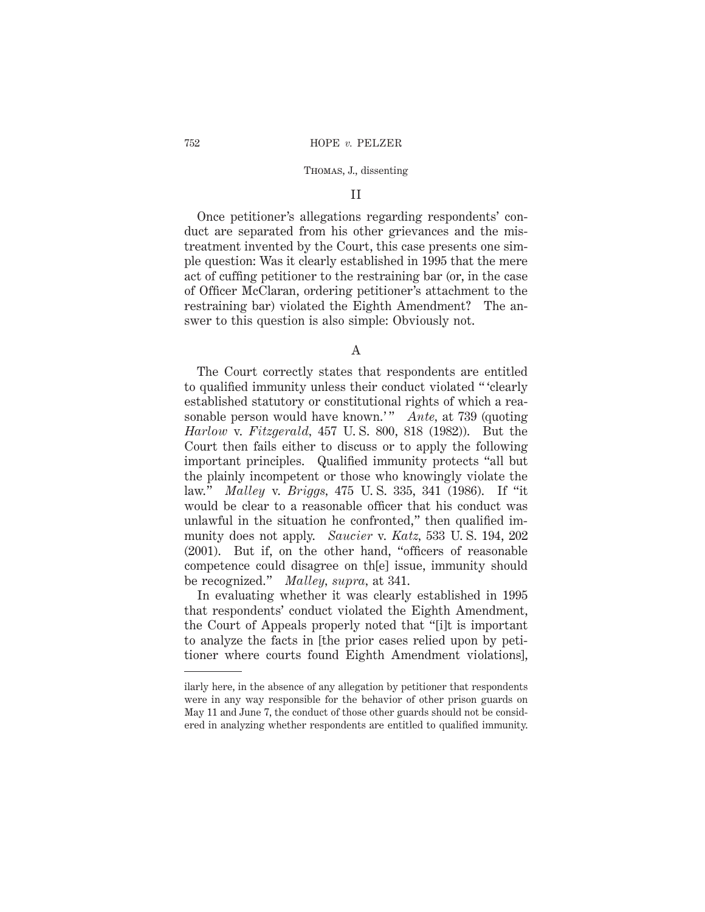### II

Once petitioner's allegations regarding respondents' conduct are separated from his other grievances and the mistreatment invented by the Court, this case presents one simple question: Was it clearly established in 1995 that the mere act of cuffing petitioner to the restraining bar (or, in the case of Officer McClaran, ordering petitioner's attachment to the restraining bar) violated the Eighth Amendment? The answer to this question is also simple: Obviously not.

A

The Court correctly states that respondents are entitled to qualified immunity unless their conduct violated " 'clearly established statutory or constitutional rights of which a reasonable person would have known.'" *Ante*, at 739 (quoting *Harlow* v. *Fitzgerald,* 457 U. S. 800, 818 (1982)). But the Court then fails either to discuss or to apply the following important principles. Qualified immunity protects "all but the plainly incompetent or those who knowingly violate the law." *Malley* v. *Briggs,* 475 U. S. 335, 341 (1986). If "it would be clear to a reasonable officer that his conduct was unlawful in the situation he confronted," then qualified immunity does not apply. *Saucier* v. *Katz,* 533 U. S. 194, 202 (2001). But if, on the other hand, "officers of reasonable competence could disagree on th[e] issue, immunity should be recognized." *Malley, supra,* at 341.

In evaluating whether it was clearly established in 1995 that respondents' conduct violated the Eighth Amendment, the Court of Appeals properly noted that "[i]t is important to analyze the facts in [the prior cases relied upon by petitioner where courts found Eighth Amendment violations],

ilarly here, in the absence of any allegation by petitioner that respondents were in any way responsible for the behavior of other prison guards on May 11 and June 7, the conduct of those other guards should not be considered in analyzing whether respondents are entitled to qualified immunity.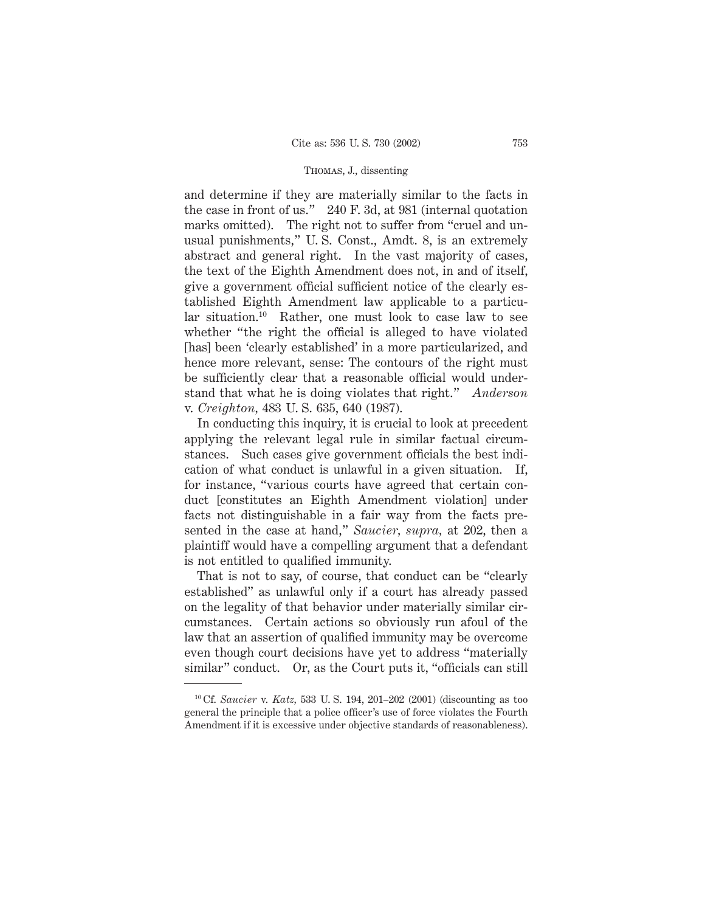and determine if they are materially similar to the facts in the case in front of us." 240 F. 3d, at 981 (internal quotation marks omitted). The right not to suffer from "cruel and unusual punishments," U. S. Const., Amdt. 8, is an extremely abstract and general right. In the vast majority of cases, the text of the Eighth Amendment does not, in and of itself, give a government official sufficient notice of the clearly established Eighth Amendment law applicable to a particular situation.10 Rather, one must look to case law to see whether "the right the official is alleged to have violated [has] been 'clearly established' in a more particularized, and hence more relevant, sense: The contours of the right must be sufficiently clear that a reasonable official would understand that what he is doing violates that right." *Anderson* v. *Creighton,* 483 U. S. 635, 640 (1987).

In conducting this inquiry, it is crucial to look at precedent applying the relevant legal rule in similar factual circumstances. Such cases give government officials the best indication of what conduct is unlawful in a given situation. If, for instance, "various courts have agreed that certain conduct [constitutes an Eighth Amendment violation] under facts not distinguishable in a fair way from the facts presented in the case at hand," *Saucier, supra,* at 202, then a plaintiff would have a compelling argument that a defendant is not entitled to qualified immunity.

That is not to say, of course, that conduct can be "clearly established" as unlawful only if a court has already passed on the legality of that behavior under materially similar circumstances. Certain actions so obviously run afoul of the law that an assertion of qualified immunity may be overcome even though court decisions have yet to address "materially similar" conduct. Or, as the Court puts it, "officials can still

<sup>10</sup> Cf. *Saucier* v. *Katz,* 533 U. S. 194, 201–202 (2001) (discounting as too general the principle that a police officer's use of force violates the Fourth Amendment if it is excessive under objective standards of reasonableness).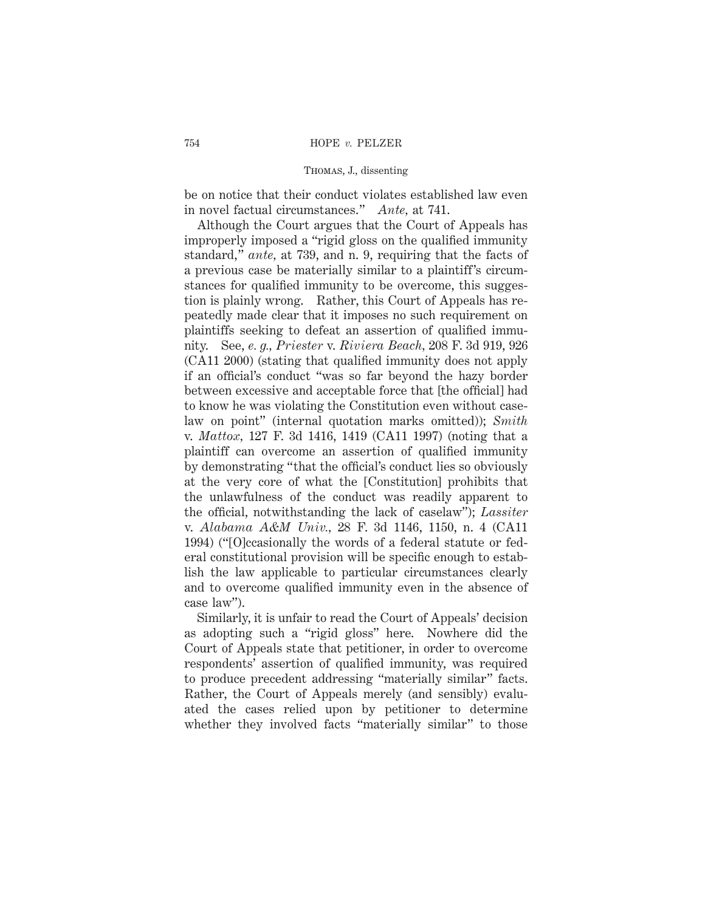be on notice that their conduct violates established law even in novel factual circumstances." *Ante,* at 741.

Although the Court argues that the Court of Appeals has improperly imposed a "rigid gloss on the qualified immunity standard," *ante,* at 739, and n. 9, requiring that the facts of a previous case be materially similar to a plaintiff's circumstances for qualified immunity to be overcome, this suggestion is plainly wrong. Rather, this Court of Appeals has repeatedly made clear that it imposes no such requirement on plaintiffs seeking to defeat an assertion of qualified immunity. See, *e. g., Priester* v. *Riviera Beach,* 208 F. 3d 919, 926 (CA11 2000) (stating that qualified immunity does not apply if an official's conduct "was so far beyond the hazy border between excessive and acceptable force that [the official] had to know he was violating the Constitution even without caselaw on point" (internal quotation marks omitted)); *Smith* v. *Mattox,* 127 F. 3d 1416, 1419 (CA11 1997) (noting that a plaintiff can overcome an assertion of qualified immunity by demonstrating "that the official's conduct lies so obviously at the very core of what the [Constitution] prohibits that the unlawfulness of the conduct was readily apparent to the official, notwithstanding the lack of caselaw"); *Lassiter* v. *Alabama A&M Univ.,* 28 F. 3d 1146, 1150, n. 4 (CA11 1994) ("[O]ccasionally the words of a federal statute or federal constitutional provision will be specific enough to establish the law applicable to particular circumstances clearly and to overcome qualified immunity even in the absence of case law").

Similarly, it is unfair to read the Court of Appeals' decision as adopting such a "rigid gloss" here. Nowhere did the Court of Appeals state that petitioner, in order to overcome respondents' assertion of qualified immunity, was required to produce precedent addressing "materially similar" facts. Rather, the Court of Appeals merely (and sensibly) evaluated the cases relied upon by petitioner to determine whether they involved facts "materially similar" to those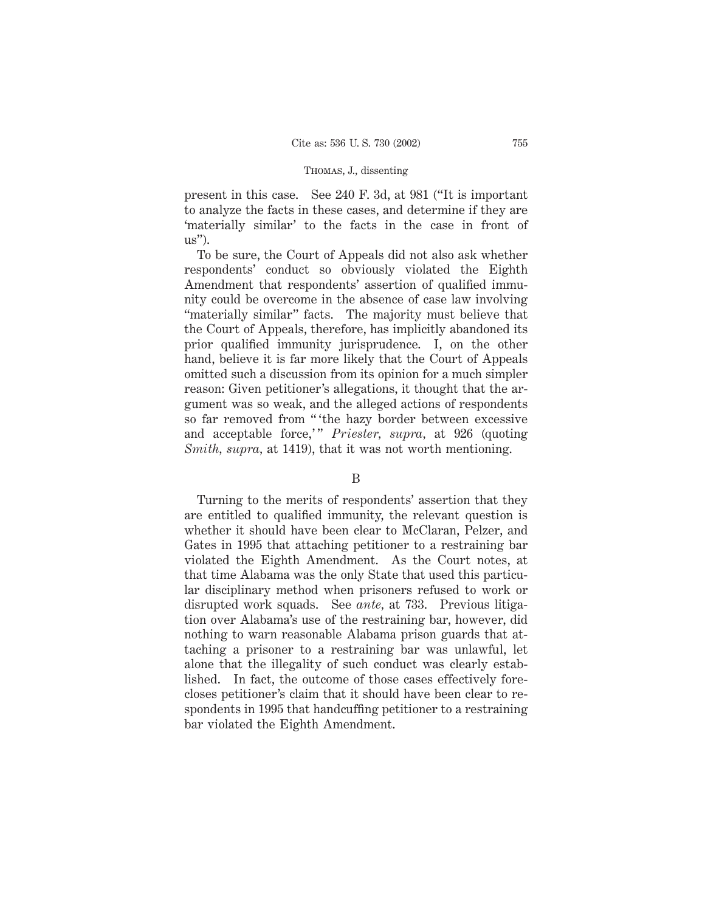present in this case. See 240 F. 3d, at 981 ("It is important to analyze the facts in these cases, and determine if they are 'materially similar' to the facts in the case in front of  $\text{us}$ ").

To be sure, the Court of Appeals did not also ask whether respondents' conduct so obviously violated the Eighth Amendment that respondents' assertion of qualified immunity could be overcome in the absence of case law involving "materially similar" facts. The majority must believe that the Court of Appeals, therefore, has implicitly abandoned its prior qualified immunity jurisprudence. I, on the other hand, believe it is far more likely that the Court of Appeals omitted such a discussion from its opinion for a much simpler reason: Given petitioner's allegations, it thought that the argument was so weak, and the alleged actions of respondents so far removed from "" the hazy border between excessive and acceptable force," *Priester, supra,* at 926 (quoting *Smith, supra,* at 1419), that it was not worth mentioning.

### B

Turning to the merits of respondents' assertion that they are entitled to qualified immunity, the relevant question is whether it should have been clear to McClaran, Pelzer, and Gates in 1995 that attaching petitioner to a restraining bar violated the Eighth Amendment. As the Court notes, at that time Alabama was the only State that used this particular disciplinary method when prisoners refused to work or disrupted work squads. See *ante,* at 733. Previous litigation over Alabama's use of the restraining bar, however, did nothing to warn reasonable Alabama prison guards that attaching a prisoner to a restraining bar was unlawful, let alone that the illegality of such conduct was clearly established. In fact, the outcome of those cases effectively forecloses petitioner's claim that it should have been clear to respondents in 1995 that handcuffing petitioner to a restraining bar violated the Eighth Amendment.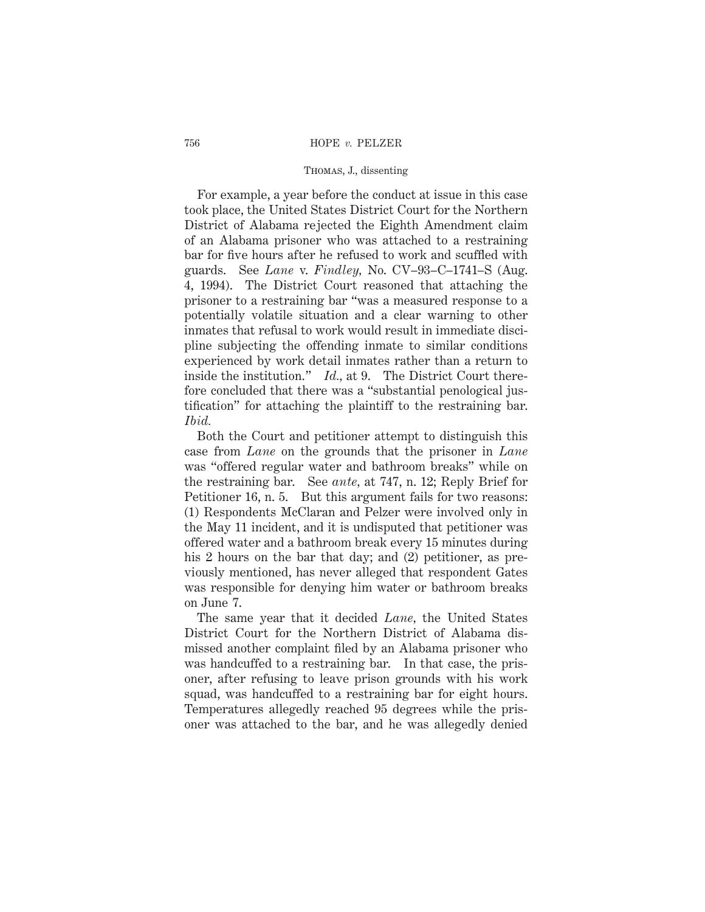For example, a year before the conduct at issue in this case took place, the United States District Court for the Northern District of Alabama rejected the Eighth Amendment claim of an Alabama prisoner who was attached to a restraining bar for five hours after he refused to work and scuffled with guards. See *Lane* v. *Findley,* No. CV–93–C–1741–S (Aug. 4, 1994). The District Court reasoned that attaching the prisoner to a restraining bar "was a measured response to a potentially volatile situation and a clear warning to other inmates that refusal to work would result in immediate discipline subjecting the offending inmate to similar conditions experienced by work detail inmates rather than a return to inside the institution." *Id.,* at 9. The District Court therefore concluded that there was a "substantial penological justification" for attaching the plaintiff to the restraining bar. *Ibid.*

Both the Court and petitioner attempt to distinguish this case from *Lane* on the grounds that the prisoner in *Lane* was "offered regular water and bathroom breaks" while on the restraining bar. See *ante,* at 747, n. 12; Reply Brief for Petitioner 16, n. 5. But this argument fails for two reasons: (1) Respondents McClaran and Pelzer were involved only in the May 11 incident, and it is undisputed that petitioner was offered water and a bathroom break every 15 minutes during his 2 hours on the bar that day; and (2) petitioner, as previously mentioned, has never alleged that respondent Gates was responsible for denying him water or bathroom breaks on June 7.

The same year that it decided *Lane,* the United States District Court for the Northern District of Alabama dismissed another complaint filed by an Alabama prisoner who was handcuffed to a restraining bar. In that case, the prisoner, after refusing to leave prison grounds with his work squad, was handcuffed to a restraining bar for eight hours. Temperatures allegedly reached 95 degrees while the prisoner was attached to the bar, and he was allegedly denied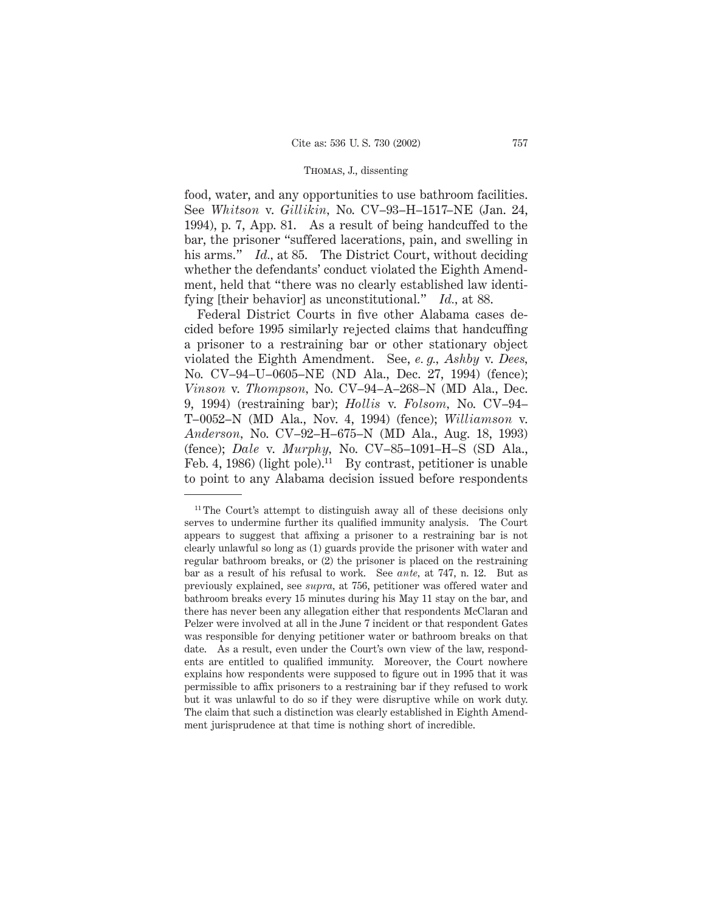food, water, and any opportunities to use bathroom facilities. See *Whitson* v. *Gillikin,* No. CV–93–H–1517–NE (Jan. 24, 1994), p. 7, App. 81. As a result of being handcuffed to the bar, the prisoner "suffered lacerations, pain, and swelling in his arms." *Id.*, at 85. The District Court, without deciding whether the defendants' conduct violated the Eighth Amendment, held that "there was no clearly established law identifying [their behavior] as unconstitutional." *Id.,* at 88.

Federal District Courts in five other Alabama cases decided before 1995 similarly rejected claims that handcuffing a prisoner to a restraining bar or other stationary object violated the Eighth Amendment. See, *e. g., Ashby* v. *Dees,* No. CV–94–U–0605–NE (ND Ala., Dec. 27, 1994) (fence); *Vinson* v. *Thompson,* No. CV–94–A–268–N (MD Ala., Dec. 9, 1994) (restraining bar); *Hollis* v. *Folsom,* No. CV–94– T–0052–N (MD Ala., Nov. 4, 1994) (fence); *Williamson* v. *Anderson,* No. CV–92–H–675–N (MD Ala., Aug. 18, 1993) (fence); *Dale* v. *Murphy,* No. CV–85–1091–H–S (SD Ala., Feb. 4, 1986) (light pole).<sup>11</sup> By contrast, petitioner is unable to point to any Alabama decision issued before respondents

<sup>&</sup>lt;sup>11</sup> The Court's attempt to distinguish away all of these decisions only serves to undermine further its qualified immunity analysis. The Court appears to suggest that affixing a prisoner to a restraining bar is not clearly unlawful so long as (1) guards provide the prisoner with water and regular bathroom breaks, or (2) the prisoner is placed on the restraining bar as a result of his refusal to work. See *ante,* at 747, n. 12. But as previously explained, see *supra,* at 756, petitioner was offered water and bathroom breaks every 15 minutes during his May 11 stay on the bar, and there has never been any allegation either that respondents McClaran and Pelzer were involved at all in the June 7 incident or that respondent Gates was responsible for denying petitioner water or bathroom breaks on that date. As a result, even under the Court's own view of the law, respondents are entitled to qualified immunity. Moreover, the Court nowhere explains how respondents were supposed to figure out in 1995 that it was permissible to affix prisoners to a restraining bar if they refused to work but it was unlawful to do so if they were disruptive while on work duty. The claim that such a distinction was clearly established in Eighth Amendment jurisprudence at that time is nothing short of incredible.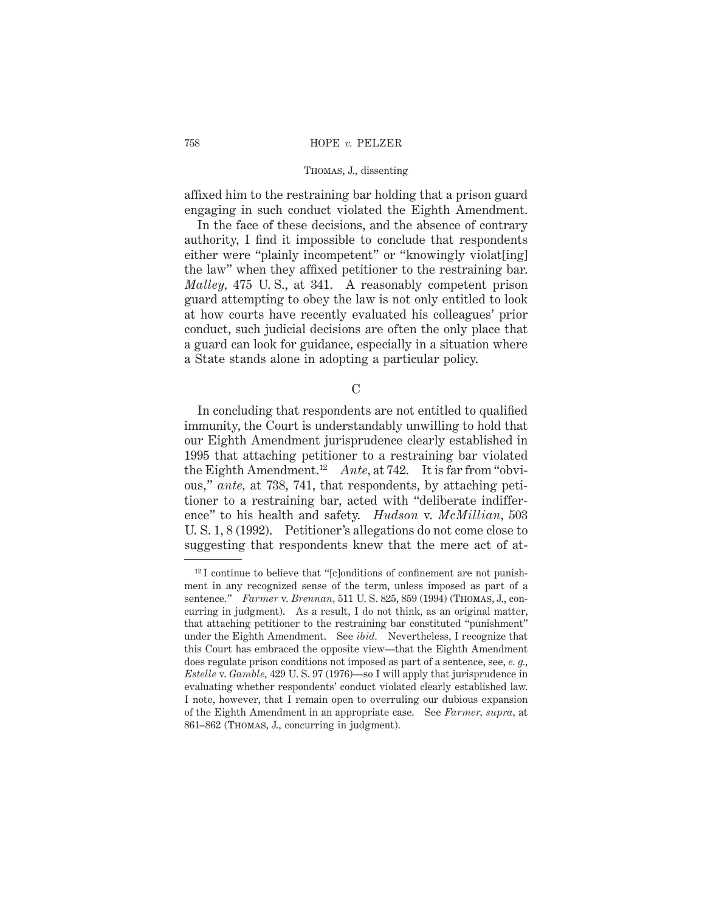affixed him to the restraining bar holding that a prison guard engaging in such conduct violated the Eighth Amendment.

In the face of these decisions, and the absence of contrary authority, I find it impossible to conclude that respondents either were "plainly incompetent" or "knowingly violat[ing] the law" when they affixed petitioner to the restraining bar. *Malley,* 475 U. S., at 341. A reasonably competent prison guard attempting to obey the law is not only entitled to look at how courts have recently evaluated his colleagues' prior conduct, such judicial decisions are often the only place that a guard can look for guidance, especially in a situation where a State stands alone in adopting a particular policy.

 $\mathcal{C}$ 

In concluding that respondents are not entitled to qualified immunity, the Court is understandably unwilling to hold that our Eighth Amendment jurisprudence clearly established in 1995 that attaching petitioner to a restraining bar violated the Eighth Amendment.12 *Ante,* at 742. It is far from "obvious," *ante,* at 738, 741, that respondents, by attaching petitioner to a restraining bar, acted with "deliberate indifference" to his health and safety. *Hudson* v. *McMillian,* 503 U. S. 1, 8 (1992). Petitioner's allegations do not come close to suggesting that respondents knew that the mere act of at-

<sup>&</sup>lt;sup>12</sup> I continue to believe that "[c]onditions of confinement are not punishment in any recognized sense of the term, unless imposed as part of a sentence." *Farmer* v. *Brennan,* 511 U. S. 825, 859 (1994) (Thomas, J., concurring in judgment). As a result, I do not think, as an original matter, that attaching petitioner to the restraining bar constituted "punishment" under the Eighth Amendment. See *ibid.* Nevertheless, I recognize that this Court has embraced the opposite view—that the Eighth Amendment does regulate prison conditions not imposed as part of a sentence, see, *e. g., Estelle* v. *Gamble,* 429 U. S. 97 (1976)—so I will apply that jurisprudence in evaluating whether respondents' conduct violated clearly established law. I note, however, that I remain open to overruling our dubious expansion of the Eighth Amendment in an appropriate case. See *Farmer, supra,* at 861–862 (Thomas, J., concurring in judgment).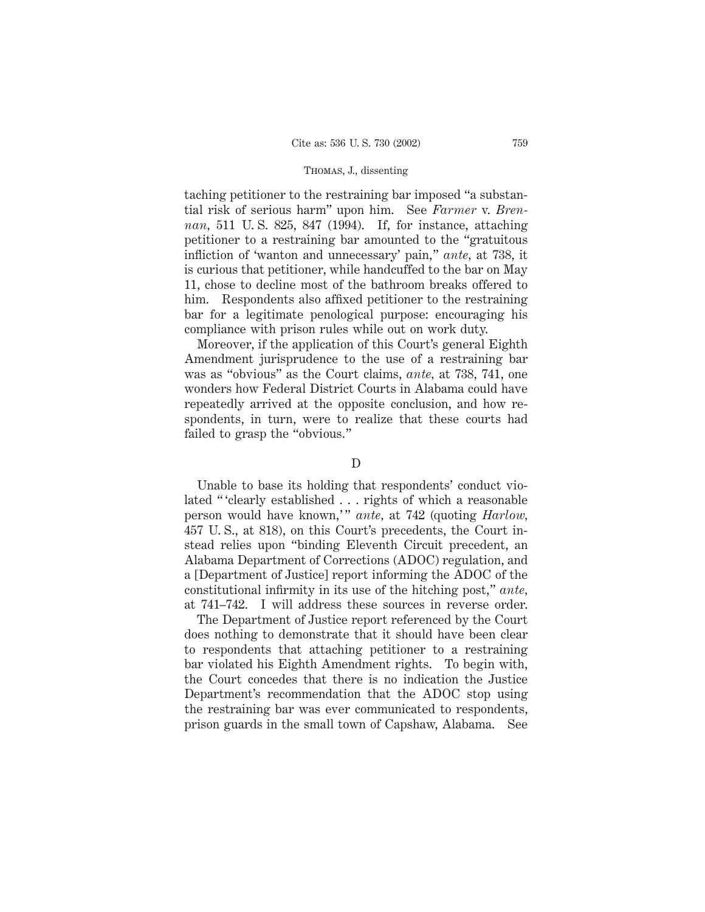taching petitioner to the restraining bar imposed "a substantial risk of serious harm" upon him. See *Farmer* v. *Brennan,* 511 U. S. 825, 847 (1994). If, for instance, attaching petitioner to a restraining bar amounted to the "gratuitous infliction of 'wanton and unnecessary' pain," *ante,* at 738, it is curious that petitioner, while handcuffed to the bar on May 11, chose to decline most of the bathroom breaks offered to him. Respondents also affixed petitioner to the restraining bar for a legitimate penological purpose: encouraging his compliance with prison rules while out on work duty.

Moreover, if the application of this Court's general Eighth Amendment jurisprudence to the use of a restraining bar was as "obvious" as the Court claims, *ante,* at 738, 741, one wonders how Federal District Courts in Alabama could have repeatedly arrived at the opposite conclusion, and how respondents, in turn, were to realize that these courts had failed to grasp the "obvious."

### D

Unable to base its holding that respondents' conduct violated " 'clearly established . . . rights of which a reasonable person would have known," ante, at 742 (quoting *Harlow*, 457 U. S., at 818), on this Court's precedents, the Court instead relies upon "binding Eleventh Circuit precedent, an Alabama Department of Corrections (ADOC) regulation, and a [Department of Justice] report informing the ADOC of the constitutional infirmity in its use of the hitching post," *ante,* at 741–742. I will address these sources in reverse order.

The Department of Justice report referenced by the Court does nothing to demonstrate that it should have been clear to respondents that attaching petitioner to a restraining bar violated his Eighth Amendment rights. To begin with, the Court concedes that there is no indication the Justice Department's recommendation that the ADOC stop using the restraining bar was ever communicated to respondents, prison guards in the small town of Capshaw, Alabama. See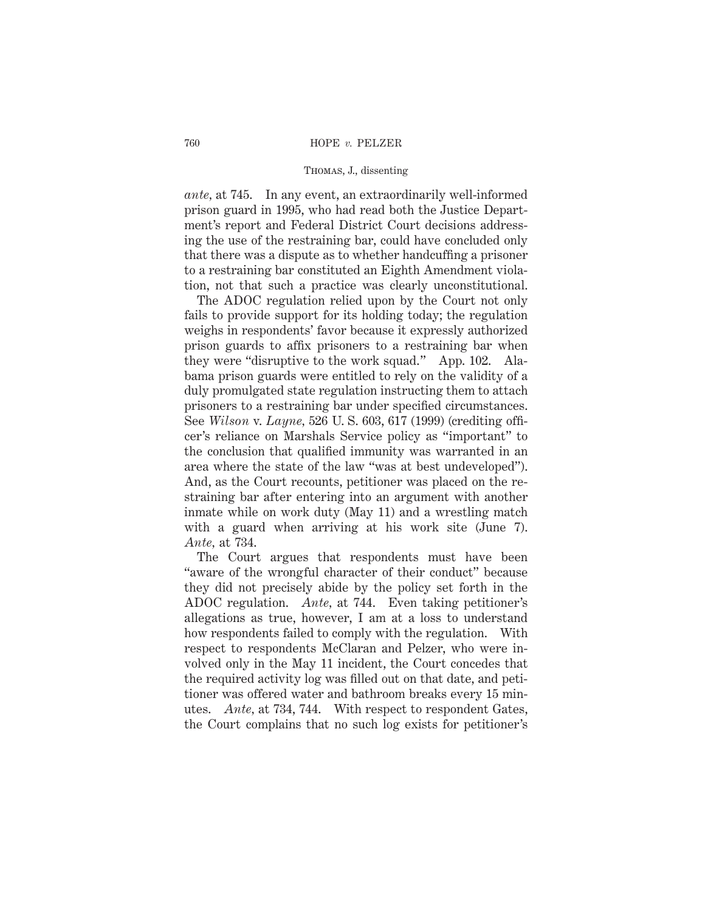*ante,* at 745. In any event, an extraordinarily well-informed prison guard in 1995, who had read both the Justice Department's report and Federal District Court decisions addressing the use of the restraining bar, could have concluded only that there was a dispute as to whether handcuffing a prisoner to a restraining bar constituted an Eighth Amendment violation, not that such a practice was clearly unconstitutional.

The ADOC regulation relied upon by the Court not only fails to provide support for its holding today; the regulation weighs in respondents' favor because it expressly authorized prison guards to affix prisoners to a restraining bar when they were "disruptive to the work squad." App. 102. Alabama prison guards were entitled to rely on the validity of a duly promulgated state regulation instructing them to attach prisoners to a restraining bar under specified circumstances. See *Wilson* v. *Layne,* 526 U. S. 603, 617 (1999) (crediting officer's reliance on Marshals Service policy as "important" to the conclusion that qualified immunity was warranted in an area where the state of the law "was at best undeveloped"). And, as the Court recounts, petitioner was placed on the restraining bar after entering into an argument with another inmate while on work duty (May 11) and a wrestling match with a guard when arriving at his work site (June 7). *Ante,* at 734.

The Court argues that respondents must have been "aware of the wrongful character of their conduct" because they did not precisely abide by the policy set forth in the ADOC regulation. *Ante,* at 744. Even taking petitioner's allegations as true, however, I am at a loss to understand how respondents failed to comply with the regulation. With respect to respondents McClaran and Pelzer, who were involved only in the May 11 incident, the Court concedes that the required activity log was filled out on that date, and petitioner was offered water and bathroom breaks every 15 minutes. *Ante,* at 734, 744. With respect to respondent Gates, the Court complains that no such log exists for petitioner's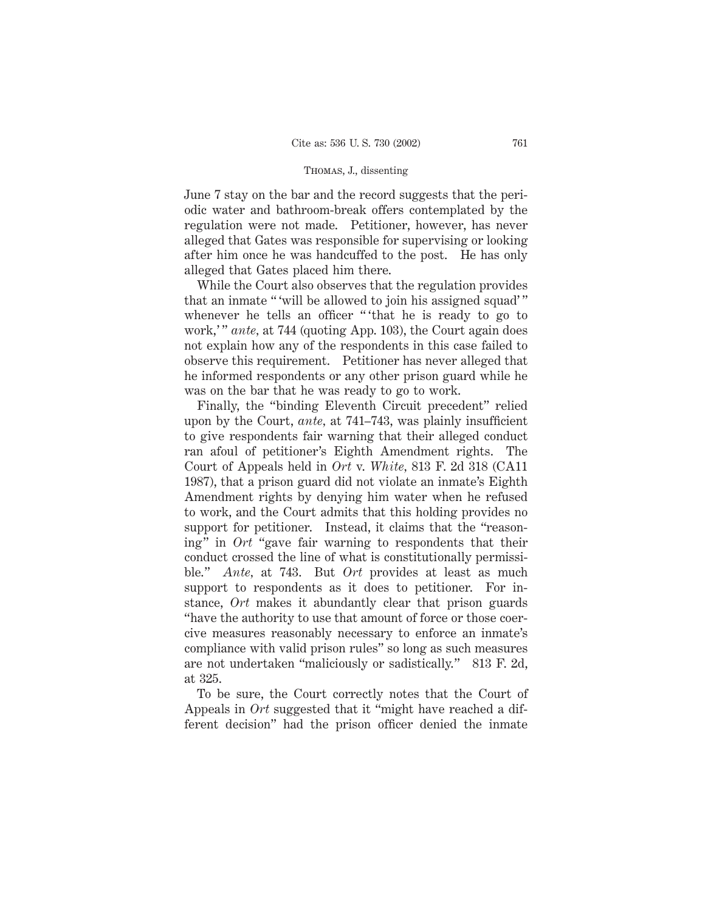June 7 stay on the bar and the record suggests that the periodic water and bathroom-break offers contemplated by the regulation were not made. Petitioner, however, has never alleged that Gates was responsible for supervising or looking after him once he was handcuffed to the post. He has only alleged that Gates placed him there.

While the Court also observes that the regulation provides that an inmate " 'will be allowed to join his assigned squad' " whenever he tells an officer "'that he is ready to go to work," *ante*, at 744 (quoting App. 103), the Court again does not explain how any of the respondents in this case failed to observe this requirement. Petitioner has never alleged that he informed respondents or any other prison guard while he was on the bar that he was ready to go to work.

Finally, the "binding Eleventh Circuit precedent" relied upon by the Court, *ante,* at 741–743, was plainly insufficient to give respondents fair warning that their alleged conduct ran afoul of petitioner's Eighth Amendment rights. The Court of Appeals held in *Ort* v. *White,* 813 F. 2d 318 (CA11 1987), that a prison guard did not violate an inmate's Eighth Amendment rights by denying him water when he refused to work, and the Court admits that this holding provides no support for petitioner. Instead, it claims that the "reasoning" in *Ort* "gave fair warning to respondents that their conduct crossed the line of what is constitutionally permissible." *Ante,* at 743. But *Ort* provides at least as much support to respondents as it does to petitioner. For instance, *Ort* makes it abundantly clear that prison guards "have the authority to use that amount of force or those coercive measures reasonably necessary to enforce an inmate's compliance with valid prison rules" so long as such measures are not undertaken "maliciously or sadistically." 813 F. 2d, at 325.

To be sure, the Court correctly notes that the Court of Appeals in *Ort* suggested that it "might have reached a different decision" had the prison officer denied the inmate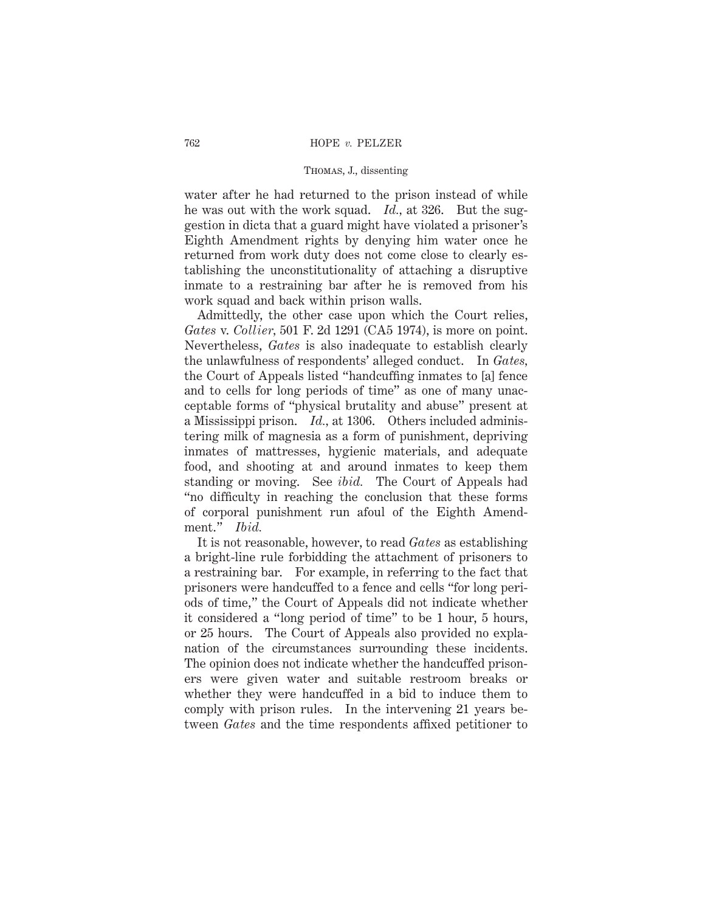water after he had returned to the prison instead of while he was out with the work squad. *Id.,* at 326. But the suggestion in dicta that a guard might have violated a prisoner's Eighth Amendment rights by denying him water once he returned from work duty does not come close to clearly establishing the unconstitutionality of attaching a disruptive inmate to a restraining bar after he is removed from his work squad and back within prison walls.

Admittedly, the other case upon which the Court relies, *Gates* v. *Collier,* 501 F. 2d 1291 (CA5 1974), is more on point. Nevertheless, *Gates* is also inadequate to establish clearly the unlawfulness of respondents' alleged conduct. In *Gates,* the Court of Appeals listed "handcuffing inmates to [a] fence and to cells for long periods of time" as one of many unacceptable forms of "physical brutality and abuse" present at a Mississippi prison. *Id.,* at 1306. Others included administering milk of magnesia as a form of punishment, depriving inmates of mattresses, hygienic materials, and adequate food, and shooting at and around inmates to keep them standing or moving. See *ibid.* The Court of Appeals had "no difficulty in reaching the conclusion that these forms of corporal punishment run afoul of the Eighth Amendment." *Ibid.*

It is not reasonable, however, to read *Gates* as establishing a bright-line rule forbidding the attachment of prisoners to a restraining bar. For example, in referring to the fact that prisoners were handcuffed to a fence and cells "for long periods of time," the Court of Appeals did not indicate whether it considered a "long period of time" to be 1 hour, 5 hours, or 25 hours. The Court of Appeals also provided no explanation of the circumstances surrounding these incidents. The opinion does not indicate whether the handcuffed prisoners were given water and suitable restroom breaks or whether they were handcuffed in a bid to induce them to comply with prison rules. In the intervening 21 years between *Gates* and the time respondents affixed petitioner to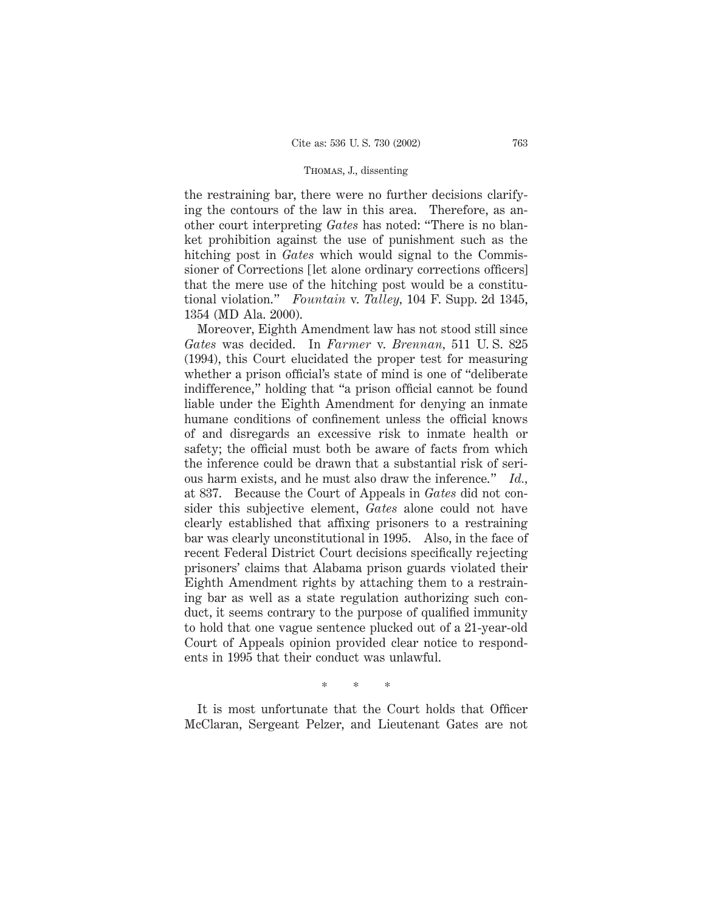the restraining bar, there were no further decisions clarifying the contours of the law in this area. Therefore, as another court interpreting *Gates* has noted: "There is no blanket prohibition against the use of punishment such as the hitching post in *Gates* which would signal to the Commissioner of Corrections [let alone ordinary corrections officers] that the mere use of the hitching post would be a constitutional violation." *Fountain* v. *Talley,* 104 F. Supp. 2d 1345, 1354 (MD Ala. 2000).

Moreover, Eighth Amendment law has not stood still since *Gates* was decided. In *Farmer* v. *Brennan,* 511 U. S. 825 (1994), this Court elucidated the proper test for measuring whether a prison official's state of mind is one of "deliberate indifference," holding that "a prison official cannot be found liable under the Eighth Amendment for denying an inmate humane conditions of confinement unless the official knows of and disregards an excessive risk to inmate health or safety; the official must both be aware of facts from which the inference could be drawn that a substantial risk of serious harm exists, and he must also draw the inference." *Id.,* at 837. Because the Court of Appeals in *Gates* did not consider this subjective element, *Gates* alone could not have clearly established that affixing prisoners to a restraining bar was clearly unconstitutional in 1995. Also, in the face of recent Federal District Court decisions specifically rejecting prisoners' claims that Alabama prison guards violated their Eighth Amendment rights by attaching them to a restraining bar as well as a state regulation authorizing such conduct, it seems contrary to the purpose of qualified immunity to hold that one vague sentence plucked out of a 21-year-old Court of Appeals opinion provided clear notice to respondents in 1995 that their conduct was unlawful.

\*\*\*

It is most unfortunate that the Court holds that Officer McClaran, Sergeant Pelzer, and Lieutenant Gates are not